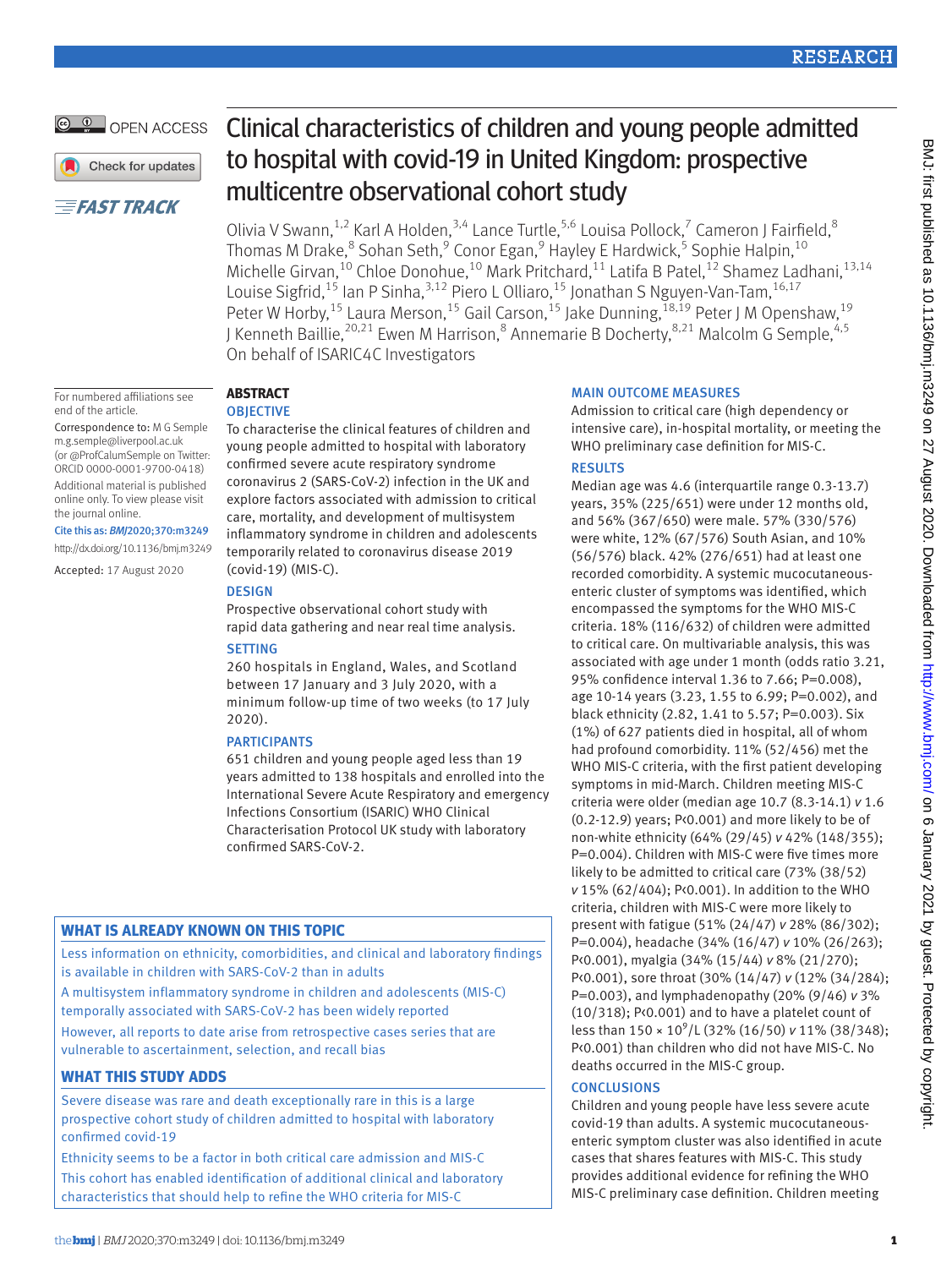# **RESEARCH**

# OPEN ACCESS

Check for updates

# **EFAST TRACK**

#### For numbered affiliations see end of the article.

Correspondence to: M G Semple [m.g.semple@liverpool.ac.uk](mailto:m.g.semple@liverpool.ac.uk)  (or [@ProfCalumSemple](https://twitter.com/ProfCalumSemple) on Twitter: ORCID [0000-0001-9700-0418\)](https://orcid.org/0000-0001-9700-0418) Additional material is published online only. To view please visit the journal online.

## Cite this as: *BMJ*2020;370:m3249

http://dx.doi.org/10.1136/bmj.m3249

Accepted: 17 August 2020

# Clinical characteristics of children and young people admitted to hospital with covid-19 in United Kingdom: prospective multicentre observational cohort study

Olivia V Swann,  $^{1,2}$  Karl A Holden,  $^{3,4}$  Lance Turtle,  $^{5,6}$  Louisa Pollock,  $^7$  Cameron J Fairfield,  $^8$ Thomas M Drake,<sup>8</sup> Sohan Seth,<sup>9</sup> Conor Egan,<sup>9</sup> Hayley E Hardwick,<sup>5</sup> Sophie Halpin,<sup>10</sup> Michelle Girvan,<sup>10</sup> Chloe Donohue,<sup>10</sup> Mark Pritchard,<sup>11</sup> Latifa B Patel,<sup>12</sup> Shamez Ladhani,<sup>13,14</sup> Louise Sigfrid,<sup>15</sup> Ian P Sinha,<sup>3,12</sup> Piero L Olliaro,<sup>15</sup> Jonathan S Nguyen-Van-Tam,<sup>16,17</sup> Peter W Horby,<sup>15</sup> Laura Merson,<sup>15</sup> Gail Carson,<sup>15</sup> Jake Dunning,<sup>18,19</sup> Peter J M Openshaw,<sup>19</sup> J Kenneth Baillie,<sup>20,21</sup> Ewen M Harrison,<sup>8</sup> Annemarie B Docherty,<sup>8,21</sup> Malcolm G Semple,<sup>4,5</sup> On behalf of ISARIC4C Investigators

#### **Abstract OBJECTIVE**

To characterise the clinical features of children and young people admitted to hospital with laboratory confirmed severe acute respiratory syndrome coronavirus 2 (SARS-CoV-2) infection in the UK and explore factors associated with admission to critical care, mortality, and development of multisystem inflammatory syndrome in children and adolescents temporarily related to coronavirus disease 2019 (covid-19) (MIS-C).

## **DESIGN**

Prospective observational cohort study with rapid data gathering and near real time analysis.

## **SETTING**

260 hospitals in England, Wales, and Scotland between 17 January and 3 July 2020, with a minimum follow-up time of two weeks (to 17 July 2020).

## **PARTICIPANTS**

651 children and young people aged less than 19 years admitted to 138 hospitals and enrolled into the International Severe Acute Respiratory and emergency Infections Consortium (ISARIC) WHO Clinical Characterisation Protocol UK study with laboratory confirmed SARS-CoV-2.

# **What is already known on this topic**

Less information on ethnicity, comorbidities, and clinical and laboratory findings is available in children with SARS-CoV-2 than in adults

A multisystem inflammatory syndrome in children and adolescents (MIS-C) temporally associated with SARS-CoV-2 has been widely reported

However, all reports to date arise from retrospective cases series that are vulnerable to ascertainment, selection, and recall bias

# **What this study adds**

Severe disease was rare and death exceptionally rare in this is a large prospective cohort study of children admitted to hospital with laboratory confirmed covid-19

Ethnicity seems to be a factor in both critical care admission and MIS-C This cohort has enabled identification of additional clinical and laboratory characteristics that should help to refine the WHO criteria for MIS-C

# Main outcome measures

Admission to critical care (high dependency or intensive care), in-hospital mortality, or meeting the WHO preliminary case definition for MIS-C.

## **RESULTS**

Median age was 4.6 (interquartile range 0.3-13.7) years, 35% (225/651) were under 12 months old, and 56% (367/650) were male. 57% (330/576) were white, 12% (67/576) South Asian, and 10% (56/576) black. 42% (276/651) had at least one recorded comorbidity. A systemic mucocutaneousenteric cluster of symptoms was identified, which encompassed the symptoms for the WHO MIS-C criteria. 18% (116/632) of children were admitted to critical care. On multivariable analysis, this was associated with age under 1 month (odds ratio 3.21, 95% confidence interval 1.36 to 7.66; P=0.008), age 10-14 years (3.23, 1.55 to 6.99; P=0.002), and black ethnicity (2.82, 1.41 to 5.57; P=0.003). Six (1%) of 627 patients died in hospital, all of whom had profound comorbidity. 11% (52/456) met the WHO MIS-C criteria, with the first patient developing symptoms in mid-March. Children meeting MIS-C criteria were older (median age 10.7 (8.3-14.1) *v* 1.6 (0.2-12.9) years; P<0.001) and more likely to be of non-white ethnicity (64% (29/45) *v* 42% (148/355); P=0.004). Children with MIS-C were five times more likely to be admitted to critical care (73% (38/52) *v* 15% (62/404); P<0.001). In addition to the WHO criteria, children with MIS-C were more likely to present with fatigue (51% (24/47) *v* 28% (86/302); P=0.004), headache (34% (16/47) *v* 10% (26/263); P<0.001), myalgia (34% (15/44) *v* 8% (21/270); P<0.001), sore throat (30% (14/47) *v* (12% (34/284); P=0.003), and lymphadenopathy (20% (9/46) *v* 3% (10/318); P<0.001) and to have a platelet count of less than 150 × 10<sup>9</sup>/L (32% (16/50) *v* 11% (38/348); P<0.001) than children who did not have MIS-C. No deaths occurred in the MIS-C group.

## **CONCLUSIONS**

Children and young people have less severe acute covid-19 than adults. A systemic mucocutaneousenteric symptom cluster was also identified in acute cases that shares features with MIS-C. This study provides additional evidence for refining the WHO MIS-C preliminary case definition. Children meeting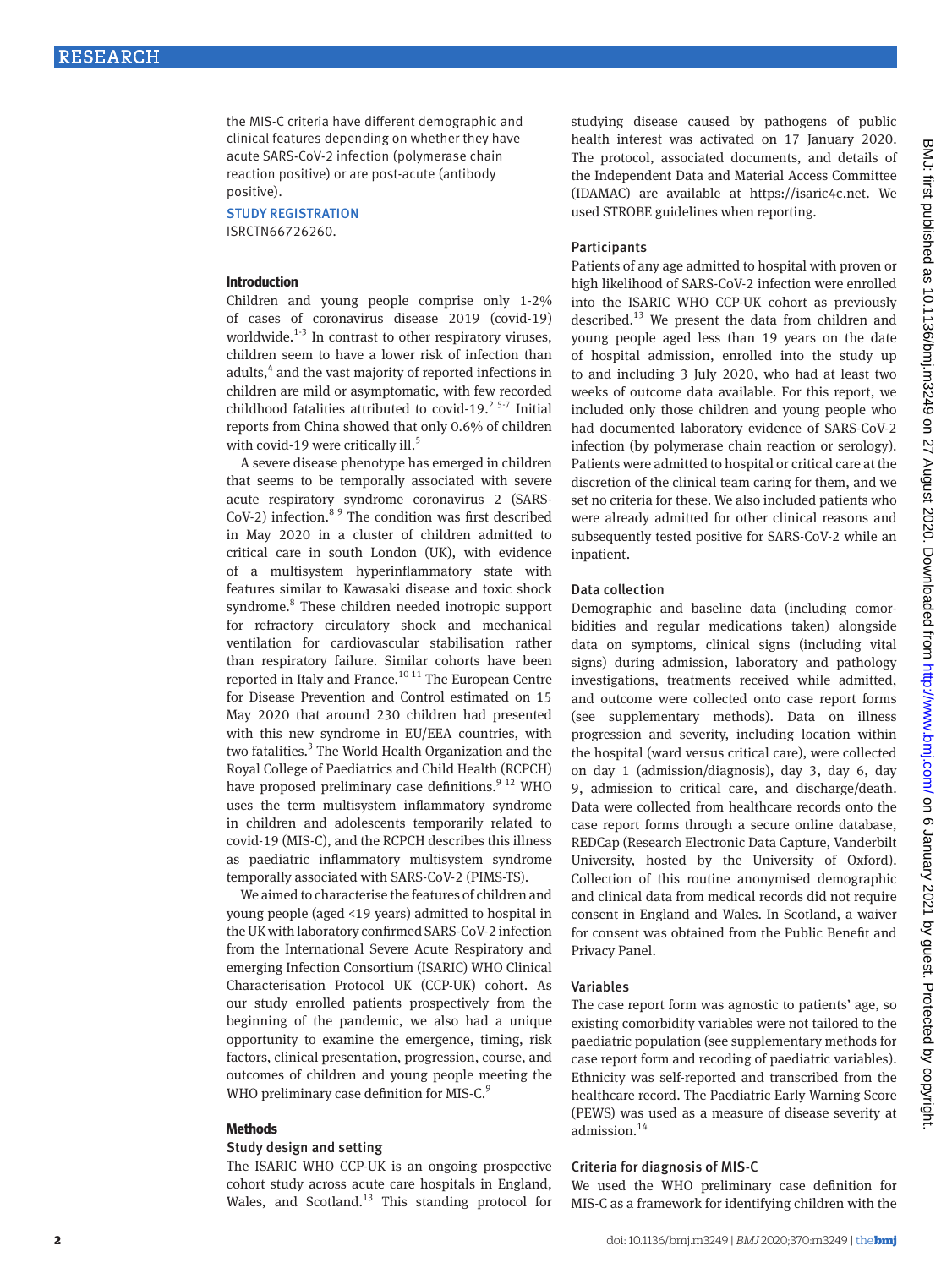the MIS-C criteria have different demographic and clinical features depending on whether they have acute SARS-CoV-2 infection (polymerase chain reaction positive) or are post-acute (antibody positive).

Study registration ISRCTN66726260.

#### **Introduction**

Children and young people comprise only 1-2% of cases of coronavirus disease 2019 (covid-19) worldwide.<sup>1-3</sup> In contrast to other respiratory viruses, children seem to have a lower risk of infection than adults,<sup>4</sup> and the vast majority of reported infections in children are mild or asymptomatic, with few recorded childhood fatalities attributed to covid-19. $25-7$  Initial reports from China showed that only 0.6% of children with covid-19 were critically ill.<sup>5</sup>

A severe disease phenotype has emerged in children that seems to be temporally associated with severe acute respiratory syndrome coronavirus 2 (SARS-CoV-2) infection.<sup>8 9</sup> The condition was first described in May 2020 in a cluster of children admitted to critical care in south London (UK), with evidence of a multisystem hyperinflammatory state with features similar to Kawasaki disease and toxic shock syndrome.<sup>8</sup> These children needed inotropic support for refractory circulatory shock and mechanical ventilation for cardiovascular stabilisation rather than respiratory failure. Similar cohorts have been reported in Italy and France.<sup>10 11</sup> The European Centre for Disease Prevention and Control estimated on 15 May 2020 that around 230 children had presented with this new syndrome in EU/EEA countries, with two fatalities.<sup>3</sup> The World Health Organization and the Royal College of Paediatrics and Child Health (RCPCH) have proposed preliminary case definitions.<sup>9 12</sup> WHO uses the term multisystem inflammatory syndrome in children and adolescents temporarily related to covid-19 (MIS-C), and the RCPCH describes this illness as paediatric inflammatory multisystem syndrome temporally associated with SARS-CoV-2 (PIMS-TS).

We aimed to characterise the features of children and young people (aged <19 years) admitted to hospital in the UK with laboratory confirmed SARS-CoV-2 infection from the International Severe Acute Respiratory and emerging Infection Consortium (ISARIC) WHO Clinical Characterisation Protocol UK (CCP-UK) cohort. As our study enrolled patients prospectively from the beginning of the pandemic, we also had a unique opportunity to examine the emergence, timing, risk factors, clinical presentation, progression, course, and outcomes of children and young people meeting the WHO preliminary case definition for MIS-C.<sup>9</sup>

#### **Methods**

#### Study design and setting

The ISARIC WHO CCP-UK is an ongoing prospective cohort study across acute care hospitals in England, Wales, and Scotland.<sup>13</sup> This standing protocol for studying disease caused by pathogens of public health interest was activated on 17 January 2020. The protocol, associated documents, and details of the Independent Data and Material Access Committee (IDAMAC) are available at <https://isaric4c.net>. We used STROBE guidelines when reporting.

#### **Participants**

Patients of any age admitted to hospital with proven or high likelihood of SARS-CoV-2 infection were enrolled into the ISARIC WHO CCP-UK cohort as previously described.<sup>13</sup> We present the data from children and young people aged less than 19 years on the date of hospital admission, enrolled into the study up to and including 3 July 2020, who had at least two weeks of outcome data available. For this report, we included only those children and young people who had documented laboratory evidence of SARS-CoV-2 infection (by polymerase chain reaction or serology). Patients were admitted to hospital or critical care at the discretion of the clinical team caring for them, and we set no criteria for these. We also included patients who were already admitted for other clinical reasons and subsequently tested positive for SARS-CoV-2 while an inpatient.

#### Data collection

Demographic and baseline data (including comorbidities and regular medications taken) alongside data on symptoms, clinical signs (including vital signs) during admission, laboratory and pathology investigations, treatments received while admitted, and outcome were collected onto case report forms (see supplementary methods). Data on illness progression and severity, including location within the hospital (ward versus critical care), were collected on day 1 (admission/diagnosis), day 3, day 6, day 9, admission to critical care, and discharge/death. Data were collected from healthcare records onto the case report forms through a secure online database, REDCap (Research Electronic Data Capture, Vanderbilt University, hosted by the University of Oxford). Collection of this routine anonymised demographic and clinical data from medical records did not require consent in England and Wales. In Scotland, a waiver for consent was obtained from the Public Benefit and Privacy Panel.

#### Variables

The case report form was agnostic to patients' age, so existing comorbidity variables were not tailored to the paediatric population (see supplementary methods for case report form and recoding of paediatric variables). Ethnicity was self-reported and transcribed from the healthcare record. The Paediatric Early Warning Score (PEWS) was used as a measure of disease severity at admission.<sup>14</sup>

#### Criteria for diagnosis of MIS-C

We used the WHO preliminary case definition for MIS-C as a framework for identifying children with the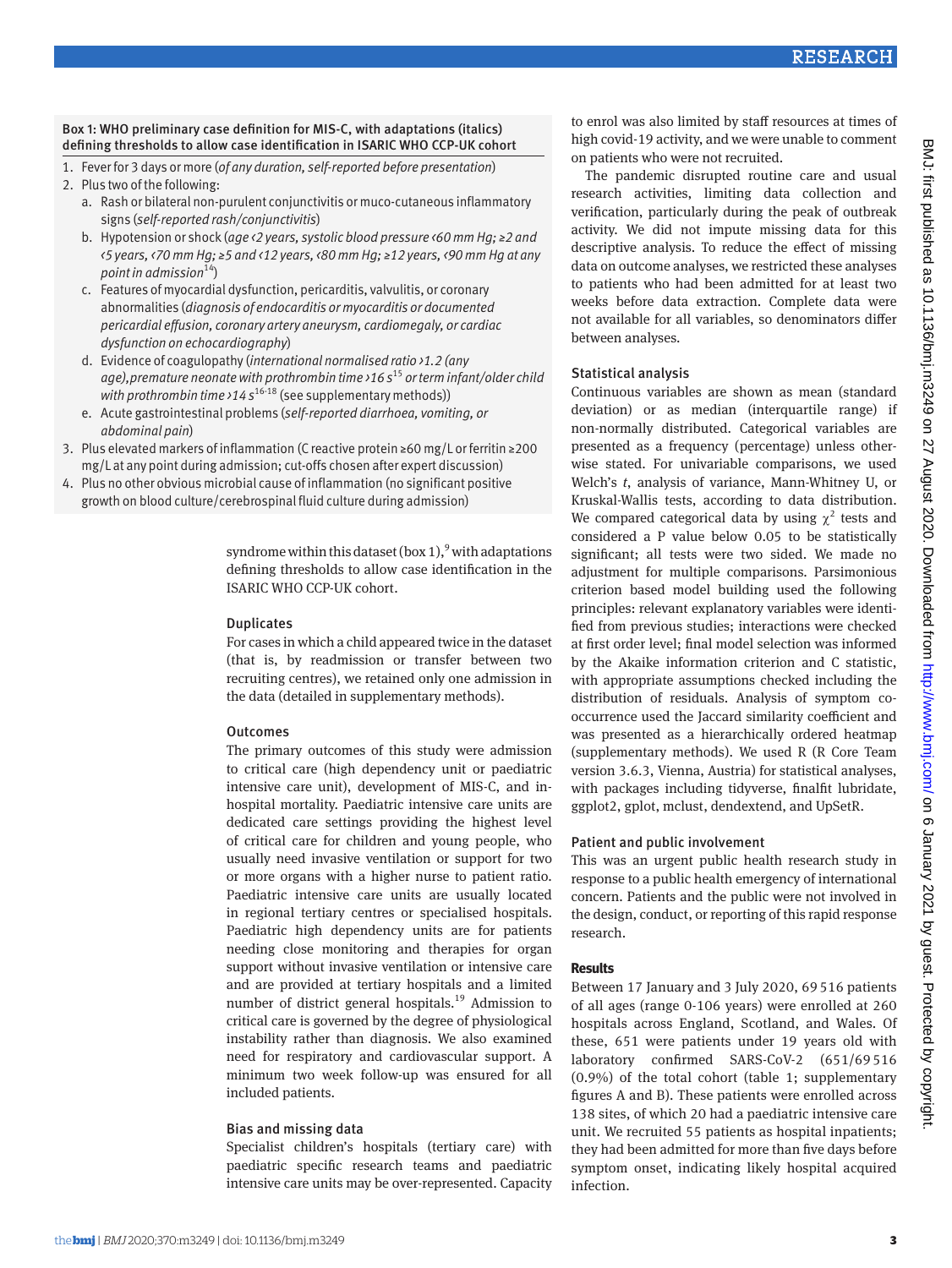1. Fever for 3 days or more (*of any duration, self-reported before presentation*)

- a. Rash or bilateral non-purulent conjunctivitis or muco-cutaneous inflammatory signs (*self-reported rash/conjunctivitis*)
- b. Hypotension or shock (*age <2 years, systolic blood pressure <60 mm Hg; ≥2 and <5 years, <70 mm Hg; ≥5 and <12 years, <80 mm Hg; ≥12 years, <90 mm Hg at any point in admission*14)
- c. Features of myocardial dysfunction, pericarditis, valvulitis, or coronary abnormalities (*diagnosis of endocarditis or myocarditis or documented pericardial effusion, coronary artery aneurysm, cardiomegaly, or cardiac dysfunction on echocardiography*)
- d. Evidence of coagulopathy (*international normalised ratio >1.2 (any age),premature neonate with prothrombin time >16 s*<sup>15</sup> *or term infant/older child*  with prothrombin time >14 s<sup>16-18</sup> (see supplementary methods))
- e. Acute gastrointestinal problems (*self-reported diarrhoea, vomiting, or abdominal pain*)
- 3. Plus elevated markers of inflammation (C reactive protein ≥60 mg/L or ferritin ≥200 mg/L at any point during admission; cut-offs chosen after expert discussion)
- 4. Plus no other obvious microbial cause of inflammation (no significant positive growth on blood culture/cerebrospinal fluid culture during admission)

syndrome within this dataset (box  $1$ ),  $9$  with adaptations defining thresholds to allow case identification in the ISARIC WHO CCP-UK cohort.

#### Duplicates

For cases in which a child appeared twice in the dataset (that is, by readmission or transfer between two recruiting centres), we retained only one admission in the data (detailed in supplementary methods).

## **Outcomes**

The primary outcomes of this study were admission to critical care (high dependency unit or paediatric intensive care unit), development of MIS-C, and inhospital mortality. Paediatric intensive care units are dedicated care settings providing the highest level of critical care for children and young people, who usually need invasive ventilation or support for two or more organs with a higher nurse to patient ratio. Paediatric intensive care units are usually located in regional tertiary centres or specialised hospitals. Paediatric high dependency units are for patients needing close monitoring and therapies for organ support without invasive ventilation or intensive care and are provided at tertiary hospitals and a limited number of district general hospitals.19 Admission to critical care is governed by the degree of physiological instability rather than diagnosis. We also examined need for respiratory and cardiovascular support. A minimum two week follow-up was ensured for all included patients.

## Bias and missing data

Specialist children's hospitals (tertiary care) with paediatric specific research teams and paediatric intensive care units may be over-represented. Capacity

to enrol was also limited by staff resources at times of high covid-19 activity, and we were unable to comment on patients who were not recruited.

The pandemic disrupted routine care and usual research activities, limiting data collection and verification, particularly during the peak of outbreak activity. We did not impute missing data for this descriptive analysis. To reduce the effect of missing data on outcome analyses, we restricted these analyses to patients who had been admitted for at least two weeks before data extraction. Complete data were not available for all variables, so denominators differ between analyses.

# Statistical analysis

Continuous variables are shown as mean (standard deviation) or as median (interquartile range) if non-normally distributed. Categorical variables are presented as a frequency (percentage) unless otherwise stated. For univariable comparisons, we used Welch's *t*, analysis of variance, Mann-Whitney U, or Kruskal-Wallis tests, according to data distribution. We compared categorical data by using  $\chi^2$  tests and considered a P value below 0.05 to be statistically significant; all tests were two sided. We made no adjustment for multiple comparisons. Parsimonious criterion based model building used the following principles: relevant explanatory variables were identified from previous studies; interactions were checked at first order level; final model selection was informed by the Akaike information criterion and C statistic, with appropriate assumptions checked including the distribution of residuals. Analysis of symptom cooccurrence used the Jaccard similarity coefficient and was presented as a hierarchically ordered heatmap (supplementary methods). We used R (R Core Team version 3.6.3, Vienna, Austria) for statistical analyses, with packages including tidyverse, finalfit lubridate, ggplot2, gplot, mclust, dendextend, and UpSetR.

# Patient and public involvement

This was an urgent public health research study in response to a public health emergency of international concern. Patients and the public were not involved in the design, conduct, or reporting of this rapid response research.

# **Results**

Between 17 January and 3 July 2020, 69 516 patients of all ages (range 0-106 years) were enrolled at 260 hospitals across England, Scotland, and Wales. Of these, 651 were patients under 19 years old with laboratory confirmed SARS-CoV-2 (651/69 516 (0.9%) of the total cohort (table 1; supplementary figures A and B). These patients were enrolled across 138 sites, of which 20 had a paediatric intensive care unit. We recruited 55 patients as hospital inpatients; they had been admitted for more than five days before symptom onset, indicating likely hospital acquired infection.

<sup>2.</sup> Plus two of the following: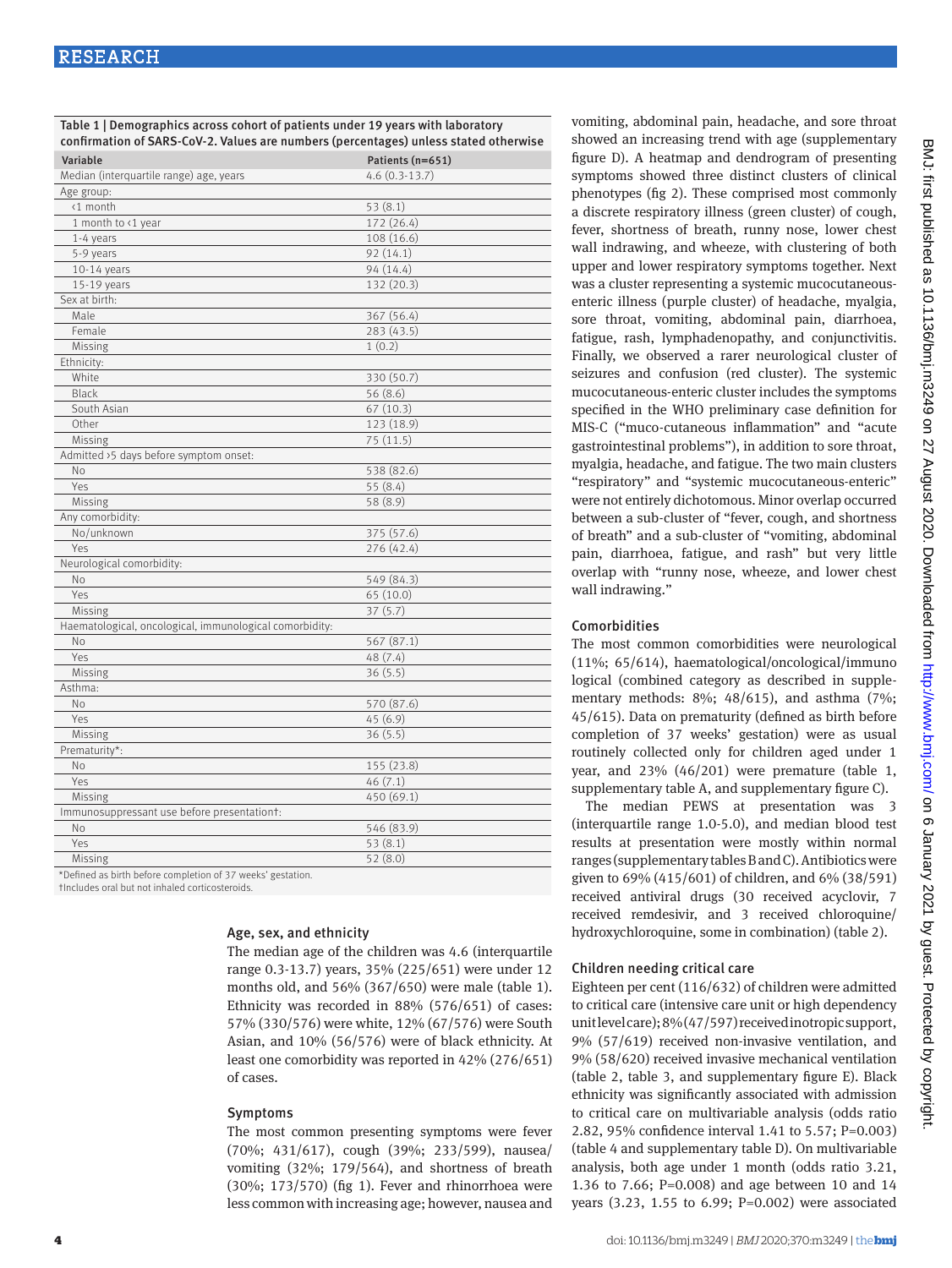Table 1 | Demographics across cohort of patients under 19 years with laboratory confirmation of SARS -CoV-2. Values are numbers (percentages) unless stated otherwise

| Variable                                                   | Patients (n=651) |
|------------------------------------------------------------|------------------|
| Median (interquartile range) age, years                    | $4.6(0.3-13.7)$  |
| Age group:                                                 |                  |
| <1 month                                                   | 53 (8.1)         |
| 1 month to <1 year                                         | 172 (26.4)       |
| 1-4 years                                                  | 108 (16.6)       |
| 5-9 years                                                  | 92(14.1)         |
| $10-14$ years                                              | 94 (14.4)        |
| 15-19 years                                                | 132 (20.3)       |
| Sex at birth:                                              |                  |
| Male                                                       | 367 (56.4)       |
| Female                                                     | 283(43.5)        |
| Missing                                                    | 1(0.2)           |
| Ethnicity:                                                 |                  |
| White                                                      | 330 (50.7)       |
| <b>Black</b>                                               | 56 (8.6)         |
| South Asian                                                | 67(10.3)         |
| Other                                                      | 123 (18.9)       |
| Missing                                                    | 75 (11.5)        |
| Admitted >5 days before symptom onset:                     |                  |
| <b>No</b>                                                  | 538 (82.6)       |
| Yes                                                        | 55 (8.4)         |
| Missing                                                    | 58 (8.9)         |
| Any comorbidity:                                           |                  |
| No/unknown                                                 | 375 (57.6)       |
| Yes                                                        | 276 (42.4)       |
| Neurological comorbidity:                                  |                  |
| <b>No</b>                                                  | 549 (84.3)       |
| Yes                                                        | 65 (10.0)        |
| Missing                                                    | 37(5.7)          |
| Haematological, oncological, immunological comorbidity:    |                  |
| <b>No</b>                                                  | 567 (87.1)       |
| Yes                                                        | 48 (7.4)         |
| Missing                                                    | 36(5.5)          |
| Asthma:                                                    |                  |
| <b>No</b>                                                  | 570 (87.6)       |
| Yes                                                        | 45(6.9)          |
| Missing                                                    | 36 (5.5)         |
| Prematurity*:                                              |                  |
| No                                                         | 155 (23.8)       |
| Yes                                                        | 46(7.1)          |
| Missing                                                    | 450 (69.1)       |
| Immunosuppressant use before presentationt:                |                  |
| <b>No</b>                                                  | 546 (83.9)       |
| Yes                                                        | 53(8.1)          |
| Missing                                                    | 52(8.0)          |
| *Defined as hirth hefore completion of 37 weeks' gestation |                  |

\*Defined as birth before completion of 37 weeks' gestation.

†Includes oral but not inhaled corticosteroids.

#### Age, sex, and ethnicity

The median age of the children was 4.6 (interquartile range 0.3-13.7) years, 35% (225/651) were under 12 months old, and 56% (367/650) were male (table 1). Ethnicity was recorded in 88% (576/651) of cases: 57% (330/576) were white, 12% (67/576) were South Asian, and 10% (56/576) were of black ethnicity. At least one comorbidity was reported in 42% (276/651) of cases.

#### Symptoms

The most common presenting symptoms were fever (70%; 431/617), cough (39%; 233/599), nausea/ vomiting (32%; 179/564), and shortness of breath (30%; 173/570) (fig 1). Fever and rhinorrhoea were less common with increasing age; however, nausea and

vomiting, abdominal pain, headache, and sore throat showed an increasing trend with age (supplementary figure D). A heatmap and dendrogram of presenting symptoms showed three distinct clusters of clinical phenotypes (fig 2). These comprised most commonly a discrete respiratory illness (green cluster) of cough, fever, shortness of breath, runny nose, lower chest wall indrawing, and wheeze, with clustering of both upper and lower respiratory symptoms together. Next was a cluster representing a systemic mucocutaneousenteric illness (purple cluster) of headache, myalgia, sore throat, vomiting, abdominal pain, diarrhoea, fatigue, rash, lymphadenopathy, and conjunctivitis. Finally, we observed a rarer neurological cluster of seizures and confusion (red cluster). The systemic mucocutaneous-enteric cluster includes the symptoms specified in the WHO preliminary case definition for MIS-C ("muco-cutaneous inflammation" and "acute gastrointestinal problems"), in addition to sore throat, myalgia, headache, and fatigue. The two main clusters "respiratory" and "systemic mucocutaneous-enteric" were not entirely dichotomous. Minor overlap occurred between a sub-cluster of "fever, cough, and shortness of breath" and a sub-cluster of "vomiting, abdominal pain, diarrhoea, fatigue, and rash" but very little overlap with "runny nose, wheeze, and lower chest wall indrawing."

#### Comorbidities

The most common comorbidities were neurological (11%; 65/614), haematological/oncological/immuno logical (combined category as described in supplementary methods:  $8\frac{6}{3}$ ;  $48/615$ ), and asthma (7%; 45/615). Data on prematurity (defined as birth before completion of 37 weeks' gestation) were as usual routinely collected only for children aged under 1 year, and 23% (46/201) were premature (table 1, supplementary table A, and supplementary figure C).

The median PEWS at presentation was 3 (interquartile range 1.0-5.0), and median blood test results at presentation were mostly within normal ranges (supplementary tables B and C). Antibiotics were given to 69% (415/601) of children, and 6% (38/591) received antiviral drugs (30 received acyclovir, 7 received remdesivir, and 3 received chloroquine/ hydroxychloroquine, some in combination) (table 2).

#### Children needing critical care

Eighteen per cent (116/632) of children were admitted to critical care (intensive care unit or high dependency unit level care); 8% (47/597) received inotropic support, 9% (57/619) received non-invasive ventilation, and 9% (58/620) received invasive mechanical ventilation (table 2, table 3, and supplementary figure E). Black ethnicity was significantly associated with admission to critical care on multivariable analysis (odds ratio 2.82, 95% confidence interval 1.41 to 5.57; P=0.003) (table 4 and supplementary table D). On multivariable analysis, both age under 1 month (odds ratio 3.21, 1.36 to 7.66; P=0.008) and age between 10 and 14 years (3.23, 1.55 to 6.99; P=0.002) were associated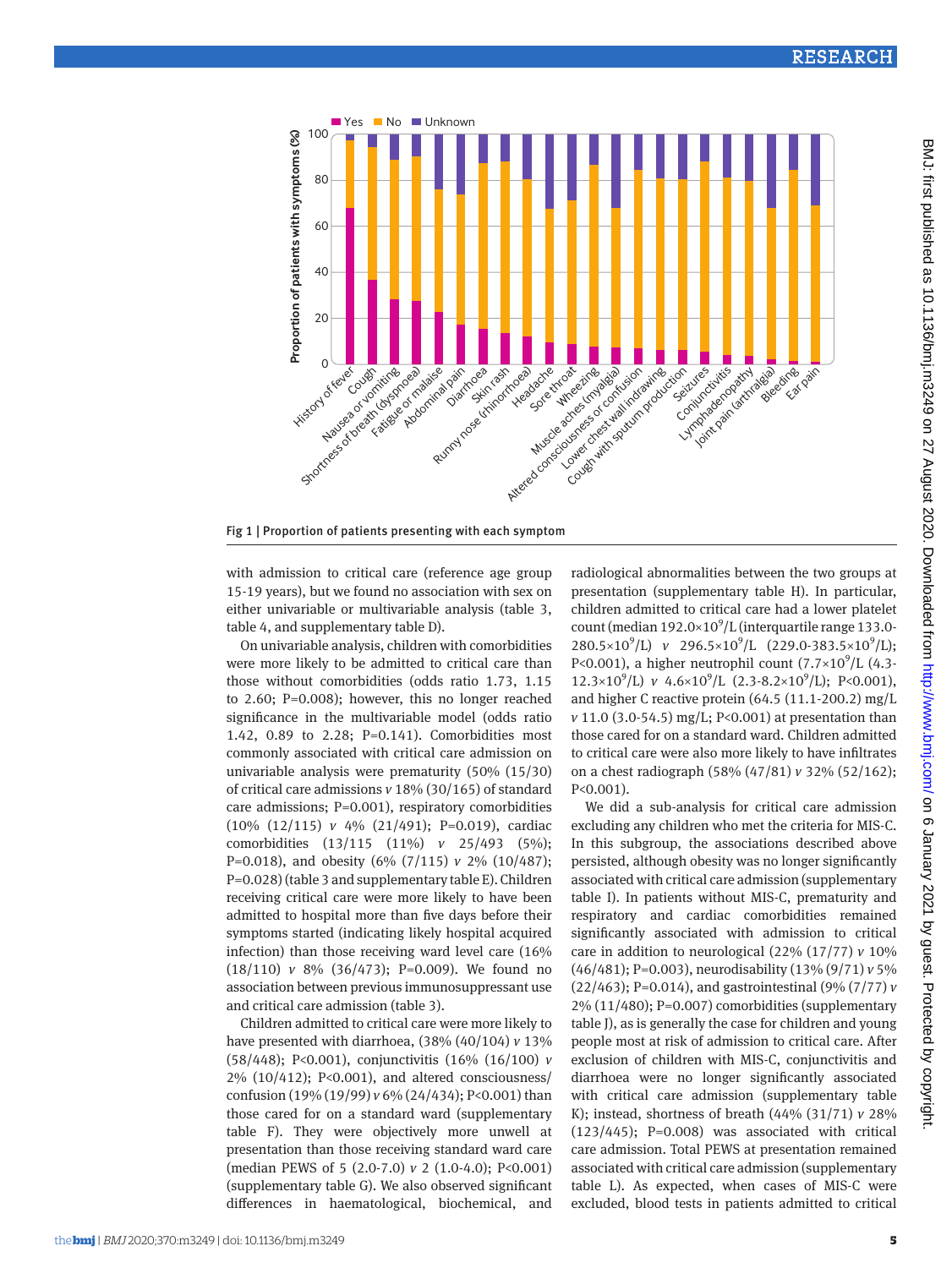

Fig 1 | Proportion of patients presenting with each symptom

with admission to critical care (reference age group 15-19 years), but we found no association with sex on either univariable or multivariable analysis (table 3, table 4, and supplementary table D).

On univariable analysis, children with comorbidities were more likely to be admitted to critical care than those without comorbidities (odds ratio 1.73, 1.15 to 2.60; P=0.008); however, this no longer reached significance in the multivariable model (odds ratio 1.42, 0.89 to 2.28; P=0.141). Comorbidities most commonly associated with critical care admission on univariable analysis were prematurity (50% (15/30) of critical care admissions *v* 18% (30/165) of standard care admissions; P=0.001), respiratory comorbidities (10% (12/115) *v* 4% (21/491); P=0.019), cardiac comorbidities (13/115 (11%) *v* 25/493 (5%); P=0.018), and obesity (6% (7/115) *v* 2% (10/487); P=0.028) (table 3 and supplementary table E). Children receiving critical care were more likely to have been admitted to hospital more than five days before their symptoms started (indicating likely hospital acquired infection) than those receiving ward level care (16% (18/110) *v* 8% (36/473); P=0.009). We found no association between previous immunosuppressant use and critical care admission (table 3).

Children admitted to critical care were more likely to have presented with diarrhoea, (38% (40/104) *v* 13% (58/448); P<0.001), conjunctivitis (16% (16/100) *v* 2% (10/412); P<0.001), and altered consciousness/ confusion (19% (19/99) *v* 6% (24/434); P<0.001) than those cared for on a standard ward (supplementary table F). They were objectively more unwell at presentation than those receiving standard ward care (median PEWS of 5 (2.0-7.0) *v* 2 (1.0-4.0); P<0.001) (supplementary table G). We also observed significant differences in haematological, biochemical, and radiological abnormalities between the two groups at presentation (supplementary table H). In particular, children admitted to critical care had a lower platelet count (median  $192.0 \times 10^9$ /L (interquartile range 133.0-280.5×10<sup>9</sup>/L) *v* 296.5×10<sup>9</sup>/L (229.0-383.5×10<sup>9</sup>/L); P<0.001), a higher neutrophil count  $(7.7\times10^9/L)$  (4.3-12.3×10<sup>9</sup>/L) *v* 4.6×10<sup>9</sup>/L (2.3-8.2×10<sup>9</sup>/L); P<0.001), and higher C reactive protein (64.5 (11.1-200.2) mg/L *v* 11.0 (3.0-54.5) mg/L; P<0.001) at presentation than those cared for on a standard ward. Children admitted to critical care were also more likely to have infiltrates on a chest radiograph (58% (47/81) *v* 32% (52/162); P<0.001).

We did a sub-analysis for critical care admission excluding any children who met the criteria for MIS-C. In this subgroup, the associations described above persisted, although obesity was no longer significantly associated with critical care admission (supplementary table I). In patients without MIS-C, prematurity and respiratory and cardiac comorbidities remained significantly associated with admission to critical care in addition to neurological (22% (17/77) *v* 10% (46/481); P=0.003), neurodisability (13% (9/71) *v* 5% (22/463); P=0.014), and gastrointestinal (9% (7/77) *v* 2% (11/480); P=0.007) comorbidities (supplementary table J), as is generally the case for children and young people most at risk of admission to critical care. After exclusion of children with MIS-C, conjunctivitis and diarrhoea were no longer significantly associated with critical care admission (supplementary table K); instead, shortness of breath (44% (31/71) *v* 28%  $(123/445)$ ; P=0.008) was associated with critical care admission. Total PEWS at presentation remained associated with critical care admission (supplementary table L). As expected, when cases of MIS-C were excluded, blood tests in patients admitted to critical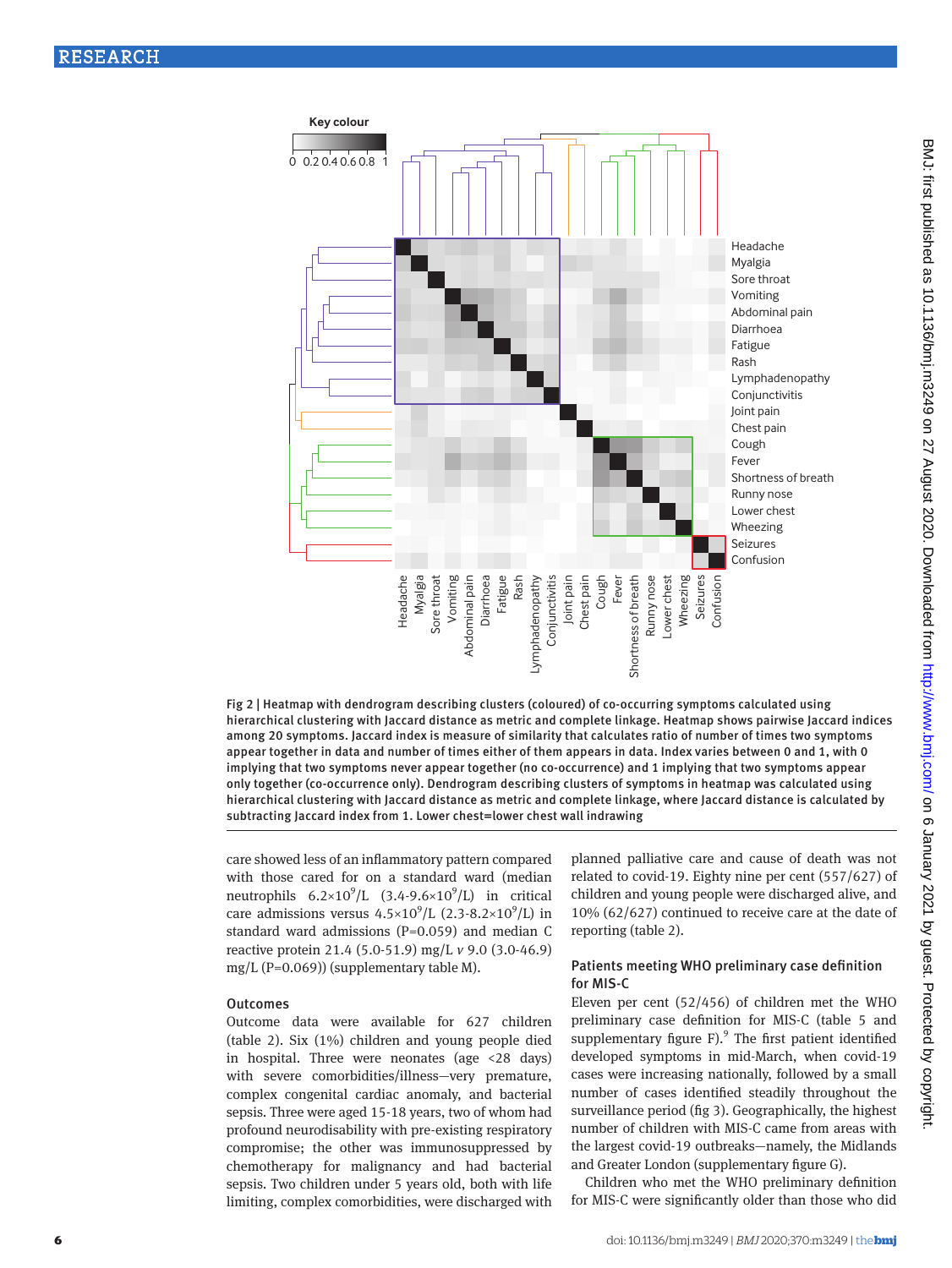

Fig 2 | Heatmap with dendrogram describing clusters (coloured) of co-occurring symptoms calculated using hierarchical clustering with Jaccard distance as metric and complete linkage. Heatmap shows pairwise Jaccard indices among 20 symptoms. Jaccard index is measure of similarity that calculates ratio of number of times two symptoms appear together in data and number of times either of them appears in data. Index varies between 0 and 1, with 0 implying that two symptoms never appear together (no co-occurrence) and 1 implying that two symptoms appear only together (co-occurrence only). Dendrogram describing clusters of symptoms in heatmap was calculated using hierarchical clustering with Jaccard distance as metric and complete linkage, where Jaccard distance is calculated by subtracting Jaccard index from 1. Lower chest=lower chest wall indrawing

care showed less of an inflammatory pattern compared with those cared for on a standard ward (median neutrophils  $6.2 \times 10^9$ /L  $(3.4 - 9.6 \times 10^9)$ /L) in critical care admissions versus  $4.5 \times 10^9$ /L (2.3-8.2×10<sup>9</sup>/L) in standard ward admissions (P=0.059) and median C reactive protein 21.4 (5.0-51.9) mg/L *v* 9.0 (3.0-46.9) mg/L (P=0.069)) (supplementary table M).

#### **Outcomes**

Outcome data were available for 627 children (table 2). Six (1%) children and young people died in hospital. Three were neonates (age <28 days) with severe comorbidities/illness—very premature, complex congenital cardiac anomaly, and bacterial sepsis. Three were aged 15-18 years, two of whom had profound neurodisability with pre-existing respiratory compromise; the other was immunosuppressed by chemotherapy for malignancy and had bacterial sepsis. Two children under 5 years old, both with life limiting, complex comorbidities, were discharged with planned palliative care and cause of death was not related to covid-19. Eighty nine per cent (557/627) of children and young people were discharged alive, and 10% (62/627) continued to receive care at the date of reporting (table 2).

## Patients meeting WHO preliminary case definition for MIS-C

Eleven per cent (52/456) of children met the WHO preliminary case definition for MIS-C (table 5 and supplementary figure  $F$ ).<sup>9</sup> The first patient identified developed symptoms in mid-March, when covid-19 cases were increasing nationally, followed by a small number of cases identified steadily throughout the surveillance period (fig 3). Geographically, the highest number of children with MIS-C came from areas with the largest covid-19 outbreaks—namely, the Midlands and Greater London (supplementary figure G).

Children who met the WHO preliminary definition for MIS-C were significantly older than those who did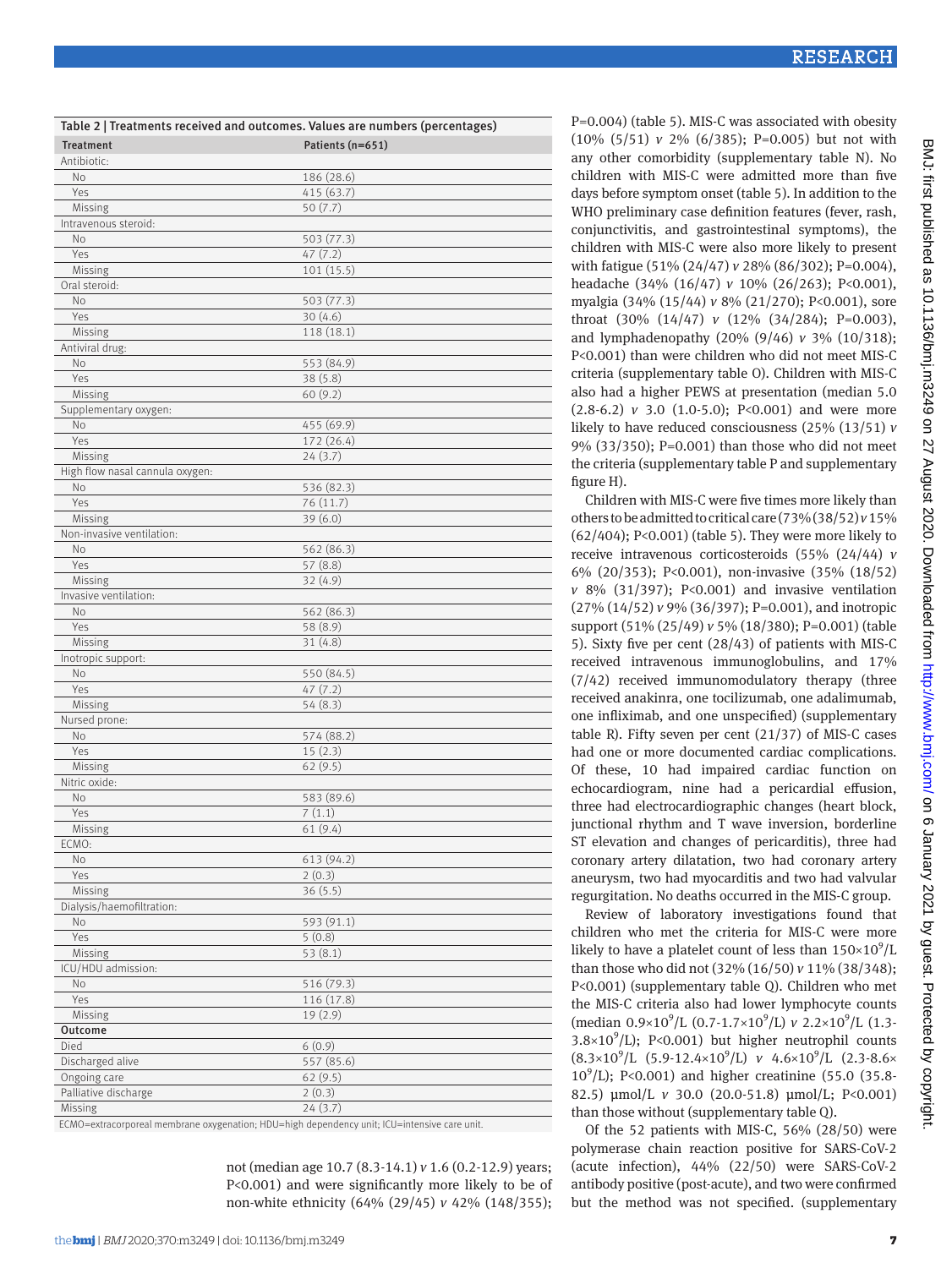| Table 2   Treatments received and outcomes. Values are numbers (percentages) |                  |  |  |
|------------------------------------------------------------------------------|------------------|--|--|
| <b>Treatment</b>                                                             | Patients (n=651) |  |  |
| Antibiotic:                                                                  |                  |  |  |
| No                                                                           | 186 (28.6)       |  |  |
| Yes                                                                          | 415 (63.7)       |  |  |
| Missing                                                                      | 50(7.7)          |  |  |
| Intravenous steroid:                                                         |                  |  |  |
| No                                                                           | 503 (77.3)       |  |  |
| Yes                                                                          | 47(7.2)          |  |  |
| Missing                                                                      | 101(15.5)        |  |  |
| Oral steroid:                                                                |                  |  |  |
| N <sub>o</sub>                                                               | 503 (77.3)       |  |  |
| Yes                                                                          | 30(4.6)          |  |  |
| Missing                                                                      | 118 (18.1)       |  |  |
|                                                                              |                  |  |  |
| Antiviral drug:                                                              | 553 (84.9)       |  |  |
| No                                                                           |                  |  |  |
| Yes                                                                          | 38(5.8)          |  |  |
| Missing                                                                      | 60(9.2)          |  |  |
| Supplementary oxygen:                                                        |                  |  |  |
| No                                                                           | 455 (69.9)       |  |  |
| Yes                                                                          | 172 (26.4)       |  |  |
| Missing                                                                      | 24(3.7)          |  |  |
| High flow nasal cannula oxygen:                                              |                  |  |  |
| No                                                                           | 536 (82.3)       |  |  |
| Yes                                                                          | 76 (11.7)        |  |  |
| Missing                                                                      | 39(6.0)          |  |  |
| Non-invasive ventilation:                                                    |                  |  |  |
| No                                                                           | 562 (86.3)       |  |  |
| Yes                                                                          | 57 (8.8)         |  |  |
| Missing                                                                      | 32 (4.9)         |  |  |
| Invasive ventilation:                                                        |                  |  |  |
| No                                                                           | 562 (86.3)       |  |  |
| Yes                                                                          | 58 (8.9)         |  |  |
| Missing                                                                      | 31(4.8)          |  |  |
| Inotropic support:                                                           |                  |  |  |
| No                                                                           | 550 (84.5)       |  |  |
| Yes                                                                          | 47 (7.2)         |  |  |
| Missing                                                                      | 54 (8.3)         |  |  |
| Nursed prone:                                                                |                  |  |  |
| No                                                                           | 574 (88.2)       |  |  |
| Yes                                                                          | 15(2.3)          |  |  |
| Missing                                                                      | 62(9.5)          |  |  |
| Nitric oxide:                                                                |                  |  |  |
| No                                                                           | 583 (89.6)       |  |  |
| Yes                                                                          | 7(1.1)           |  |  |
| Missing                                                                      | 61(9.4)          |  |  |
| ECMO:                                                                        |                  |  |  |
| No                                                                           | 613 (94.2)       |  |  |
| Yes                                                                          | 2(0.3)           |  |  |
| Missing                                                                      | 36(5.5)          |  |  |
| Dialysis/haemofiltration:                                                    |                  |  |  |
|                                                                              |                  |  |  |
| No                                                                           | 593 (91.1)       |  |  |
| Yes                                                                          | 5(0.8)           |  |  |
| Missing                                                                      | 53(8.1)          |  |  |
| ICU/HDU admission:                                                           |                  |  |  |
| No                                                                           | 516 (79.3)       |  |  |
| Yes                                                                          | 116 (17.8)       |  |  |
| Missing                                                                      | 19(2.9)          |  |  |
| Outcome                                                                      |                  |  |  |
| Died                                                                         | 6(0.9)           |  |  |
| Discharged alive                                                             | 557 (85.6)       |  |  |
| Ongoing care                                                                 | 62(9.5)          |  |  |
| Palliative discharge                                                         | 2(0.3)           |  |  |
| Missing                                                                      | 24(3.7)          |  |  |

ECMO=extracorporeal membrane oxygenation; HDU=high dependency unit; ICU=intensive care unit.

not (median age 10.7 (8.3-14.1) *v* 1.6 (0.2-12.9) years; P<0.001) and were significantly more likely to be of non-white ethnicity (64% (29/45) *v* 42% (148/355); P=0.004) (table 5). MIS-C was associated with obesity (10% (5/51) *v* 2% (6/385); P=0.005) but not with any other comorbidity (supplementary table N). No children with MIS-C were admitted more than five days before symptom onset (table 5). In addition to the WHO preliminary case definition features (fever, rash, conjunctivitis, and gastrointestinal symptoms), the children with MIS-C were also more likely to present with fatigue (51% (24/47) *v* 28% (86/302); P=0.004), headache (34% (16/47) *v* 10% (26/263); P<0.001), myalgia (34% (15/44) *v* 8% (21/270); P<0.001), sore throat (30% (14/47) *v* (12% (34/284); P=0.003), and lymphadenopathy (20% (9/46) *v* 3% (10/318); P<0.001) than were children who did not meet MIS-C criteria (supplementary table O). Children with MIS-C also had a higher PEWS at presentation (median 5.0 (2.8-6.2) *v* 3.0 (1.0-5.0); P<0.001) and were more likely to have reduced consciousness (25% (13/51) *v* 9% (33/350); P=0.001) than those who did not meet the criteria (supplementary table P and supplementary figure H).

Children with MIS-C were five times more likely than others to be admitted to critical care (73% (38/52) *v* 15% (62/404); P<0.001) (table 5). They were more likely to receive intravenous corticosteroids (55% (24/44) *v* 6% (20/353); P<0.001), non-invasive (35% (18/52) *v* 8% (31/397); P<0.001) and invasive ventilation (27% (14/52) *v* 9% (36/397); P=0.001), and inotropic support (51% (25/49) *v* 5% (18/380); P=0.001) (table 5). Sixty five per cent (28/43) of patients with MIS-C received intravenous immunoglobulins, and 17% (7/42) received immunomodulatory therapy (three received anakinra, one tocilizumab, one adalimumab, one infliximab, and one unspecified) (supplementary table R). Fifty seven per cent (21/37) of MIS-C cases had one or more documented cardiac complications. Of these, 10 had impaired cardiac function on echocardiogram, nine had a pericardial effusion, three had electrocardiographic changes (heart block, junctional rhythm and T wave inversion, borderline ST elevation and changes of pericarditis), three had coronary artery dilatation, two had coronary artery aneurysm, two had myocarditis and two had valvular regurgitation. No deaths occurred in the MIS-C group.

Review of laboratory investigations found that children who met the criteria for MIS-C were more likely to have a platelet count of less than  $150\times10^9$ /L than those who did not (32% (16/50) *v* 11% (38/348); P<0.001) (supplementary table Q). Children who met the MIS-C criteria also had lower lymphocyte counts (median  $0.9\times10^{9}/L$  (0.7-1.7×10<sup>9</sup>/L) *v* 2.2×10<sup>9</sup>/L (1.3-3.8×10 $^9$ /L); P<0.001) but higher neutrophil counts  $(8.3\times10^{9}/L)(5.9-12.4\times10^{9}/L)$  *v*  $4.6\times10^{9}/L$   $(2.3-8.6\times10^{9}/L)$ 10<sup>9</sup>/L); P<0.001) and higher creatinine (55.0 (35.8-82.5) μmol/L *v* 30.0 (20.0-51.8) μmol/L; P<0.001) than those without (supplementary table Q).

Of the 52 patients with MIS-C, 56% (28/50) were polymerase chain reaction positive for SARS-CoV-2 (acute infection), 44% (22/50) were SARS-CoV-2 antibody positive (post-acute), and two were confirmed but the method was not specified. (supplementary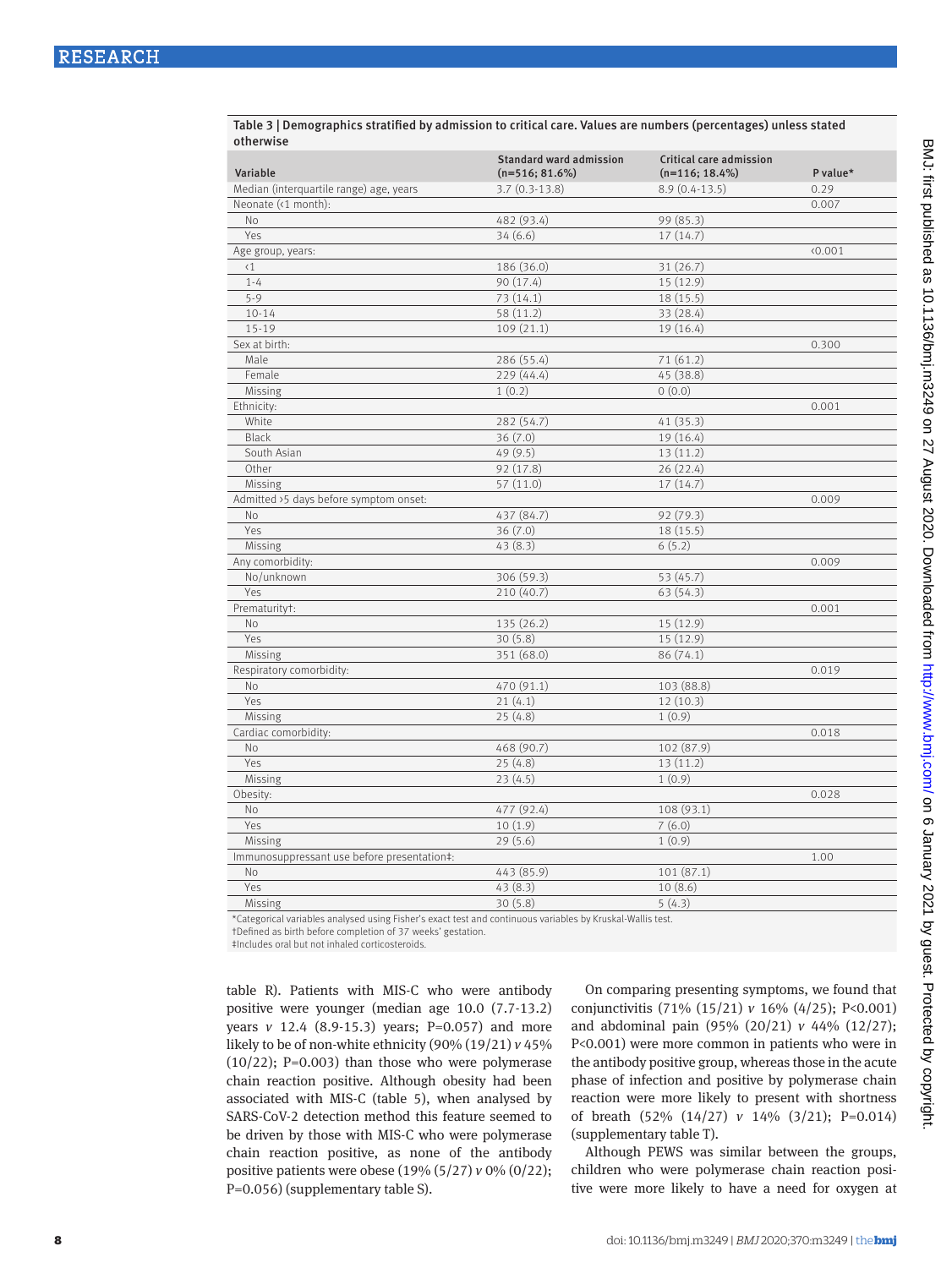| Variable                                    | <b>Standard ward admission</b><br>$(n=516; 81.6%)$ | Critical care admission<br>$(n=116; 18.4\%)$ | P value* |
|---------------------------------------------|----------------------------------------------------|----------------------------------------------|----------|
| Median (interquartile range) age, years     | $3.7(0.3-13.8)$                                    | $8.9(0.4-13.5)$                              | 0.29     |
| Neonate (<1 month):                         |                                                    |                                              | 0.007    |
| No                                          | 482 (93.4)                                         | 99 (85.3)                                    |          |
| Yes                                         | 34(6.6)                                            | 17(14.7)                                     |          |
| Age group, years:                           |                                                    |                                              | 0.001    |
| $\langle 1$                                 | 186 (36.0)                                         | 31(26.7)                                     |          |
| $1 - 4$                                     | 90 (17.4)                                          | 15 (12.9)                                    |          |
| $5 - 9$                                     | 73(14.1)                                           | 18 (15.5)                                    |          |
| $10 - 14$                                   | 58 (11.2)                                          | 33 (28.4)                                    |          |
| $15 - 19$                                   | 109(21.1)                                          | 19(16.4)                                     |          |
| Sex at birth:                               |                                                    |                                              | 0.300    |
| Male                                        | 286 (55.4)                                         | 71(61.2)                                     |          |
| Female                                      | 229 (44.4)                                         | 45 (38.8)                                    |          |
| Missing                                     | 1(0.2)                                             | 0(0.0)                                       |          |
| Ethnicity:                                  |                                                    |                                              | 0.001    |
| White                                       | 282 (54.7)                                         | 41(35.3)                                     |          |
| <b>Black</b>                                | 36(7.0)                                            | 19(16.4)                                     |          |
| South Asian                                 | 49(9.5)                                            | 13(11.2)                                     |          |
| Other                                       | 92 (17.8)                                          | 26 (22.4)                                    |          |
| Missing                                     | 57 (11.0)                                          | 17(14.7)                                     |          |
| Admitted >5 days before symptom onset:      |                                                    |                                              | 0.009    |
| No                                          | 437 (84.7)                                         | 92 (79.3)                                    |          |
| Yes                                         | 36(7.0)                                            | 18 (15.5)                                    |          |
| Missing                                     | 43(8.3)                                            | 6(5.2)                                       |          |
| Any comorbidity:                            |                                                    |                                              | 0.009    |
| No/unknown                                  | 306(59.3)                                          | 53 (45.7)                                    |          |
| Yes                                         | 210 (40.7)                                         | 63(54.3)                                     |          |
| Prematurityt:                               |                                                    |                                              | 0.001    |
| <b>No</b>                                   | 135 (26.2)                                         | 15 (12.9)                                    |          |
| Yes                                         | 30(5.8)                                            | 15 (12.9)                                    |          |
| Missing                                     | 351 (68.0)                                         | 86(74.1)                                     |          |
| Respiratory comorbidity:                    |                                                    |                                              | 0.019    |
| <b>No</b>                                   | 470 (91.1)                                         | 103 (88.8)                                   |          |
| Yes                                         | 21(4.1)                                            | 12(10.3)                                     |          |
| Missing                                     | 25(4.8)                                            | 1(0.9)                                       |          |
| Cardiac comorbidity:                        |                                                    |                                              | 0.018    |
| No                                          | 468 (90.7)                                         | 102 (87.9)                                   |          |
| Yes                                         | 25(4.8)                                            | 13(11.2)                                     |          |
| Missing                                     | 23(4.5)                                            | 1(0.9)                                       |          |
| Obesity:                                    |                                                    |                                              | 0.028    |
| No                                          | 477 (92.4)                                         | 108 (93.1)                                   |          |
| Yes                                         | 10(1.9)                                            | 7(6.0)                                       |          |
| Missing                                     | 29(5.6)                                            | 1(0.9)                                       |          |
| Immunosuppressant use before presentation‡: |                                                    |                                              | 1.00     |
| No                                          | 443 (85.9)                                         | 101(87.1)                                    |          |
| Yes                                         | 43(8.3)                                            | 10(8.6)                                      |          |
| Missing                                     | 30(5.8)                                            | 5(4.3)                                       |          |

Table 3 | Demographics stratified by admission to critical care. Values are numbers (percentages) unless stated otherwise

\*Categorical variables analysed using Fisher's exact test and continuous variables by Kruskal-Wallis test.

†Defined as birth before completion of 37 weeks' gestation.

‡Includes oral but not inhaled corticosteroids.

table R). Patients with MIS-C who were antibody positive were younger (median age 10.0 (7.7-13.2) years *v* 12.4 (8.9-15.3) years; P=0.057) and more likely to be of non-white ethnicity (90% (19/21) *v* 45%  $(10/22)$ ; P=0.003) than those who were polymerase chain reaction positive. Although obesity had been associated with MIS-C (table 5), when analysed by SARS-CoV-2 detection method this feature seemed to be driven by those with MIS-C who were polymerase chain reaction positive, as none of the antibody positive patients were obese (19% (5/27) *v* 0% (0/22); P=0.056) (supplementary table S).

On comparing presenting symptoms, we found that conjunctivitis (71% (15/21) *v* 16% (4/25); P<0.001) and abdominal pain (95% (20/21) *v* 44% (12/27); P<0.001) were more common in patients who were in the antibody positive group, whereas those in the acute phase of infection and positive by polymerase chain reaction were more likely to present with shortness of breath (52% (14/27) *v* 14% (3/21); P=0.014) (supplementary table T).

Although PEWS was similar between the groups, children who were polymerase chain reaction positive were more likely to have a need for oxygen at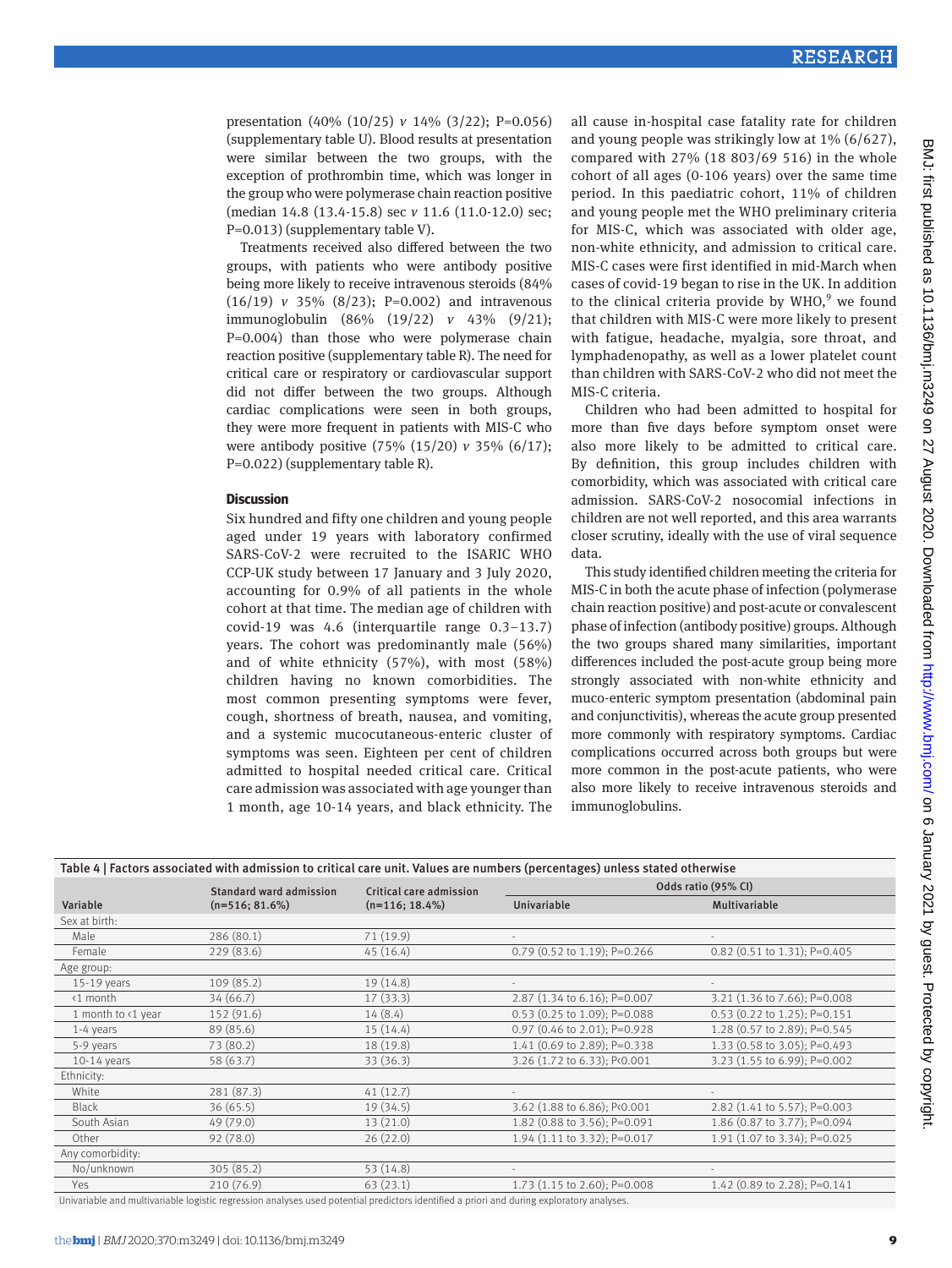presentation (40% (10/25) *v* 14% (3/22); P=0.056) (supplementary table U). Blood results at presentation were similar between the two groups, with the exception of prothrombin time, which was longer in the group who were polymerase chain reaction positive (median 14.8 (13.4-15.8) sec *v* 11.6 (11.0-12.0) sec; P=0.013) (supplementary table V).

Treatments received also differed between the two groups, with patients who were antibody positive being more likely to receive intravenous steroids (84% (16/19) *v* 35% (8/23); P=0.002) and intravenous immunoglobulin (86% (19/22) *v* 43% (9/21); P=0.004) than those who were polymerase chain reaction positive (supplementary table R). The need for critical care or respiratory or cardiovascular support did not differ between the two groups. Although cardiac complications were seen in both groups, they were more frequent in patients with MIS-C who were antibody positive (75% (15/20) *v* 35% (6/17); P=0.022) (supplementary table R).

#### **Discussion**

Six hundred and fifty one children and young people aged under 19 years with laboratory confirmed SARS-CoV-2 were recruited to the ISARIC WHO CCP-UK study between 17 January and 3 July 2020, accounting for 0.9% of all patients in the whole cohort at that time. The median age of children with covid-19 was 4.6 (interquartile range 0.3–13.7) years. The cohort was predominantly male (56%) and of white ethnicity (57%), with most (58%) children having no known comorbidities. The most common presenting symptoms were fever, cough, shortness of breath, nausea, and vomiting, and a systemic mucocutaneous-enteric cluster of symptoms was seen. Eighteen per cent of children admitted to hospital needed critical care. Critical care admission was associated with age younger than 1 month, age 10-14 years, and black ethnicity. The

all cause in-hospital case fatality rate for children and young people was strikingly low at 1% (6/627), compared with 27% (18 803/69 516) in the whole cohort of all ages (0-106 years) over the same time period. In this paediatric cohort, 11% of children and young people met the WHO preliminary criteria for MIS-C, which was associated with older age, non-white ethnicity, and admission to critical care. MIS-C cases were first identified in mid-March when cases of covid-19 began to rise in the UK. In addition to the clinical criteria provide by  $WHO<sup>9</sup>$  we found that children with MIS-C were more likely to present with fatigue, headache, myalgia, sore throat, and lymphadenopathy, as well as a lower platelet count than children with SARS-CoV-2 who did not meet the MIS-C criteria.

Children who had been admitted to hospital for more than five days before symptom onset were also more likely to be admitted to critical care. By definition, this group includes children with comorbidity, which was associated with critical care admission. SARS-CoV-2 nosocomial infections in children are not well reported, and this area warrants closer scrutiny, ideally with the use of viral sequence data.

This study identified children meeting the criteria for MIS-C in both the acute phase of infection (polymerase chain reaction positive) and post-acute or convalescent phase of infection (antibody positive) groups. Although the two groups shared many similarities, important differences included the post-acute group being more strongly associated with non-white ethnicity and muco-enteric symptom presentation (abdominal pain and conjunctivitis), whereas the acute group presented more commonly with respiratory symptoms. Cardiac complications occurred across both groups but were more common in the post-acute patients, who were also more likely to receive intravenous steroids and immunoglobulins.

| Table 4   Factors associated with admission to critical care unit. Values are numbers (percentages) unless stated otherwise |                                |                         |                                |                              |  |
|-----------------------------------------------------------------------------------------------------------------------------|--------------------------------|-------------------------|--------------------------------|------------------------------|--|
|                                                                                                                             | <b>Standard ward admission</b> | Critical care admission | Odds ratio (95% CI)            |                              |  |
| Variable                                                                                                                    | $(n=516; 81.6%)$               | $(n=116; 18.4\%)$       | Univariable                    | Multivariable                |  |
| Sex at birth:                                                                                                               |                                |                         |                                |                              |  |
| Male                                                                                                                        | 286 (80.1)                     | 71 (19.9)               |                                |                              |  |
| Female                                                                                                                      | 229(83.6)                      | 45(16.4)                | $0.79$ (0.52 to 1.19); P=0.266 | 0.82 (0.51 to 1.31); P=0.405 |  |
| Age group:                                                                                                                  |                                |                         |                                |                              |  |
| 15-19 years                                                                                                                 | 109(85.2)                      | 19(14.8)                |                                |                              |  |
| <1 month                                                                                                                    | 34(66.7)                       | 17(33.3)                | 2.87 (1.34 to 6.16); P=0.007   | 3.21 (1.36 to 7.66); P=0.008 |  |
| 1 month to <1 year                                                                                                          | 152 (91.6)                     | 14(8.4)                 | $0.53$ (0.25 to 1.09); P=0.088 | 0.53 (0.22 to 1.25); P=0.151 |  |
| $1-4$ years                                                                                                                 | 89 (85.6)                      | 15 (14.4)               | 0.97 (0.46 to 2.01); P=0.928   | 1.28 (0.57 to 2.89); P=0.545 |  |
| 5-9 years                                                                                                                   | 73 (80.2)                      | 18 (19.8)               | 1.41 (0.69 to 2.89); P=0.338   | 1.33 (0.58 to 3.05); P=0.493 |  |
| $10-14$ years                                                                                                               | 58 (63.7)                      | 33(36.3)                | 3.26 (1.72 to 6.33); P<0.001   | 3.23 (1.55 to 6.99); P=0.002 |  |
| Ethnicity:                                                                                                                  |                                |                         |                                |                              |  |
| White                                                                                                                       | 281 (87.3)                     | 41(12.7)                |                                |                              |  |
| <b>Black</b>                                                                                                                | 36(65.5)                       | 19(34.5)                | 3.62 (1.88 to 6.86); P<0.001   | 2.82 (1.41 to 5.57); P=0.003 |  |
| South Asian                                                                                                                 | 49 (79.0)                      | 13 (21.0)               | 1.82 (0.88 to 3.56); P=0.091   | 1.86 (0.87 to 3.77); P=0.094 |  |
| Other                                                                                                                       | 92(78.0)                       | 26(22.0)                | 1.94 (1.11 to 3.32); P=0.017   | 1.91 (1.07 to 3.34); P=0.025 |  |
| Any comorbidity:                                                                                                            |                                |                         |                                |                              |  |
| No/unknown                                                                                                                  | 305(85.2)                      | 53(14.8)                |                                |                              |  |
| Yes                                                                                                                         | 210(76.9)                      | 63(23.1)                | 1.73 (1.15 to 2.60); P=0.008   | 1.42 (0.89 to 2.28); P=0.141 |  |

Univariable and multivariable logistic regression analyses used potential predictors identified a priori and during exploratory analyses.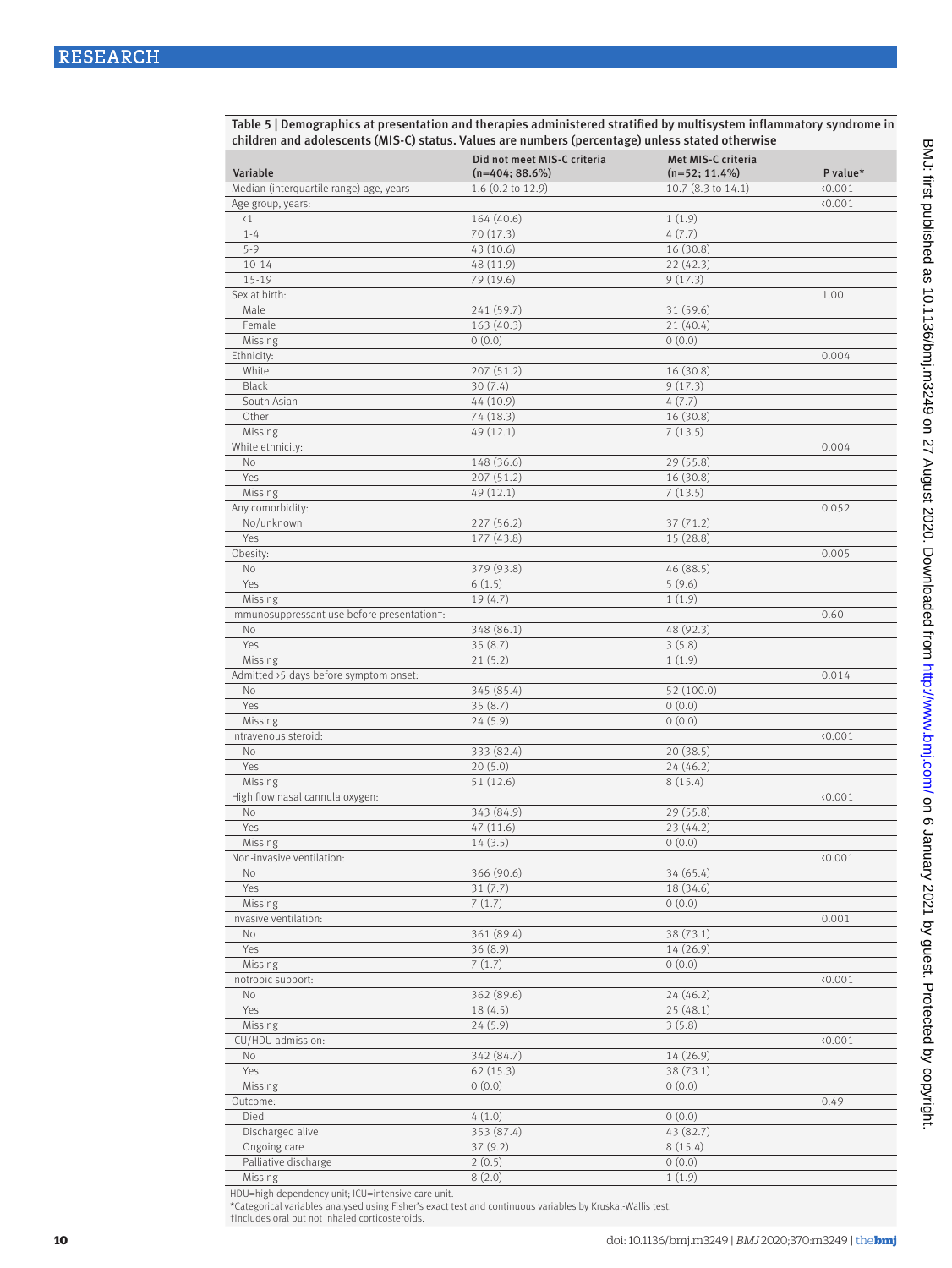Table 5 | Demographics at presentation and therapies administered stratified by multisystem inflammatory syndrome in children and adolescents (MIS-C) status. Values are numbers (percentage) unless stated otherwise

| Variable                                    | Did not meet MIS-C criteria<br>$(n=404; 88.6%)$ | Met MIS-C criteria<br>$(n=52; 11.4\%)$ | P value* |
|---------------------------------------------|-------------------------------------------------|----------------------------------------|----------|
| Median (interquartile range) age, years     | $1.6$ (0.2 to 12.9)                             | 10.7 (8.3 to 14.1)                     | (0.001)  |
| Age group, years:                           |                                                 |                                        | (0.001)  |
| $\langle 1$                                 | 164 (40.6)                                      | 1(1.9)                                 |          |
| $1 - 4$                                     | 70 (17.3)                                       | 4(7.7)                                 |          |
| $5 - 9$                                     | 43 (10.6)                                       | 16(30.8)                               |          |
| $10 - 14$                                   | 48 (11.9)                                       | 22(42.3)                               |          |
| $15 - 19$                                   | 79 (19.6)                                       | 9(17.3)                                |          |
| Sex at birth:                               |                                                 |                                        | 1.00     |
| Male                                        | 241 (59.7)                                      | 31 (59.6)                              |          |
| Female                                      | 163(40.3)                                       | 21(40.4)                               |          |
| Missing                                     | 0(0.0)                                          | 0(0.0)                                 |          |
| Ethnicity:                                  |                                                 |                                        | 0.004    |
| White                                       | 207 (51.2)                                      | 16 (30.8)                              |          |
| Black                                       | 30(7.4)                                         | 9(17.3)                                |          |
| South Asian                                 | 44 (10.9)                                       | 4(7.7)                                 |          |
| Other                                       | 74 (18.3)                                       | 16 (30.8)                              |          |
| Missing                                     | 49 (12.1)                                       | 7(13.5)                                |          |
| White ethnicity:                            |                                                 |                                        | 0.004    |
| No                                          | 148 (36.6)                                      | 29 (55.8)                              |          |
| Yes                                         | 207 (51.2)                                      | 16 (30.8)                              |          |
| Missing                                     | 49 (12.1)                                       | 7(13.5)                                |          |
| Any comorbidity:                            |                                                 |                                        | 0.052    |
| No/unknown                                  | 227 (56.2)                                      | 37(71.2)                               |          |
| Yes                                         | 177 (43.8)                                      | 15(28.8)                               |          |
| Obesity:                                    |                                                 |                                        | 0.005    |
| No                                          | 379 (93.8)                                      | 46(88.5)                               |          |
| Yes                                         | 6(1.5)                                          | 5(9.6)                                 |          |
| Missing                                     | 19(4.7)                                         | 1(1.9)                                 |          |
| Immunosuppressant use before presentationt: |                                                 |                                        | 0.60     |
| No                                          | 348 (86.1)                                      | 48 (92.3)                              |          |
| Yes                                         | 35(8.7)                                         | 3(5.8)                                 |          |
| Missing                                     | 21(5.2)                                         | 1(1.9)                                 |          |
| Admitted >5 days before symptom onset:      |                                                 |                                        | 0.014    |
| No                                          | 345 (85.4)                                      | 52 (100.0)                             |          |
| Yes                                         | 35(8.7)                                         | 0(0.0)                                 |          |
| Missing                                     | 24(5.9)                                         | 0(0.0)                                 |          |
| Intravenous steroid:                        |                                                 |                                        | 0.001    |
| No                                          | 333 (82.4)                                      | 20(38.5)                               |          |
| Yes                                         | 20(5.0)                                         | 24(46.2)                               |          |
| Missing                                     | 51 (12.6)                                       | 8(15.4)                                |          |
| High flow nasal cannula oxygen:             |                                                 |                                        | (0.001)  |
| No                                          | 343 (84.9)                                      | 29(55.8)                               |          |
| Yes                                         | 47 (11.6)                                       | 23 (44.2)                              |          |
| Missing                                     | 14(3.5)                                         | 0(0.0)                                 |          |
| Non-invasive ventilation:                   |                                                 |                                        | (0.001)  |
| No                                          | 366 (90.6)                                      | 34 (65.4)                              |          |
| Yes                                         | 31(7.7)                                         | 18 (34.6)                              |          |
| Missing                                     | 7(1.7)                                          | 0(0.0)                                 |          |
| Invasive ventilation:                       |                                                 |                                        | 0.001    |
| No                                          | 361 (89.4)                                      | 38 (73.1)                              |          |
| Yes                                         | 36(8.9)                                         | 14 (26.9)                              |          |
| Missing                                     | 7(1.7)                                          | 0(0.0)                                 |          |
| Inotropic support:                          |                                                 |                                        | (0.001)  |
| No                                          | 362 (89.6)                                      | 24(46.2)                               |          |
| Yes                                         | 18(4.5)                                         | 25 (48.1)                              |          |
| Missing                                     | 24(5.9)                                         | 3(5.8)                                 |          |
| ICU/HDU admission:                          |                                                 |                                        | (0.001)  |
| No                                          | 342 (84.7)                                      | 14 (26.9)                              |          |
| Yes                                         | 62(15.3)                                        | 38 (73.1)                              |          |
| Missing                                     | 0(0.0)                                          | 0(0.0)                                 |          |
| Outcome:                                    |                                                 |                                        | 0.49     |
| Died                                        | 4(1.0)                                          | 0(0.0)                                 |          |
| Discharged alive                            | 353 (87.4)                                      | 43 (82.7)                              |          |
| Ongoing care                                | 37(9.2)                                         | 8(15.4)                                |          |
| Palliative discharge                        | 2(0.5)                                          | 0(0.0)                                 |          |
| Missing                                     | 8(2.0)                                          | 1(1.9)                                 |          |

HDU=high dependency unit; ICU=intensive care unit. \*Categorical variables analysed using Fisher's exact test and continuous variables by Kruskal-Wallis test. †Includes oral but not inhaled corticosteroids.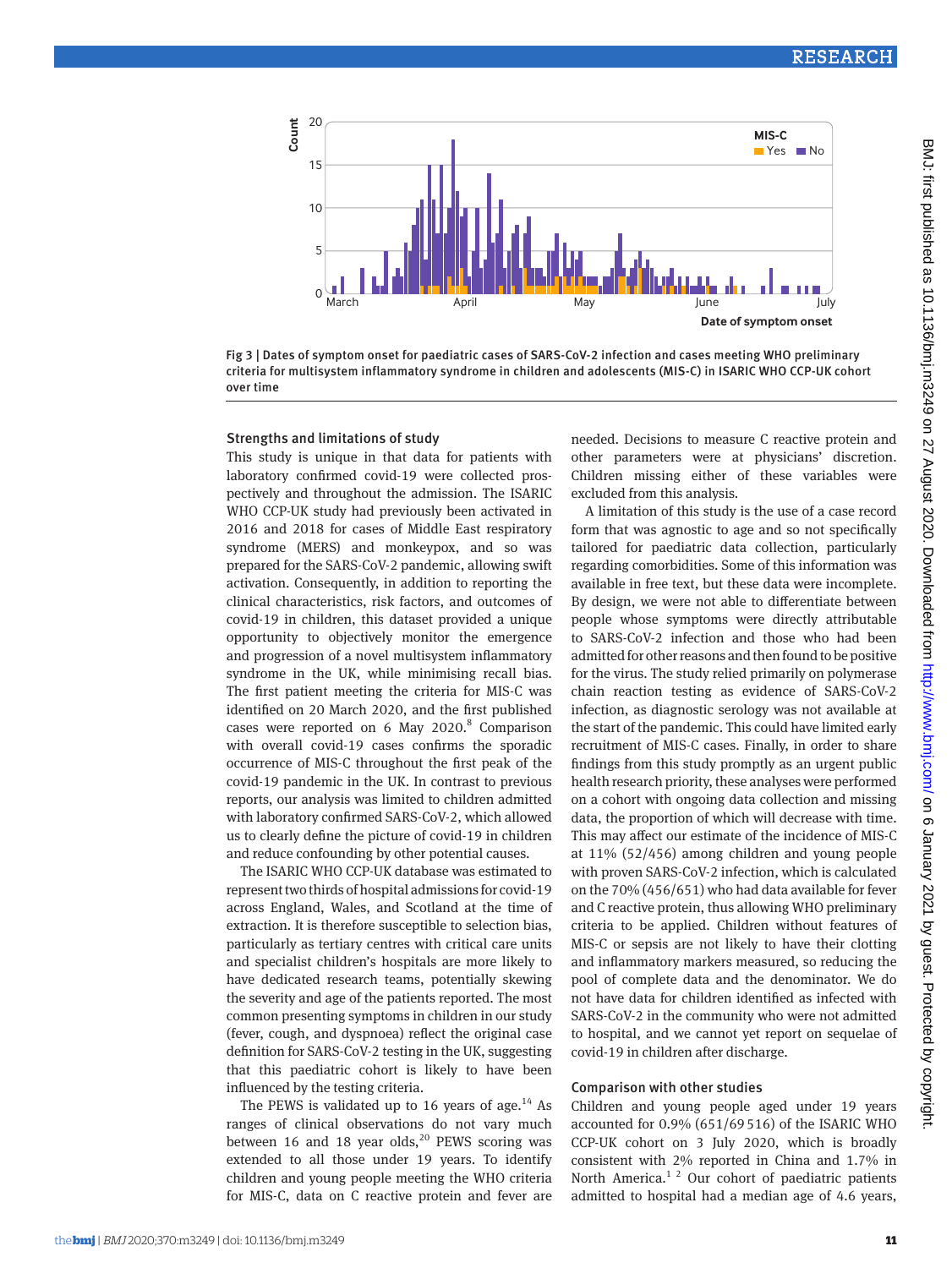

Fig 3 | Dates of symptom onset for paediatric cases of SARS -CoV-2 infection and cases meeting WHO preliminary criteria for multisystem inflammatory syndrome in children and adolescents (MIS-C) in ISARIC WHO CCP-UK cohort over time

#### Strengths and limitations of study

This study is unique in that data for patients with laboratory confirmed covid-19 were collected prospectively and throughout the admission. The ISARIC WHO CCP-UK study had previously been activated in 2016 and 2018 for cases of Middle East respiratory syndrome (MERS) and monkeypox, and so was prepared for the SARS-CoV-2 pandemic, allowing swift activation. Consequently, in addition to reporting the clinical characteristics, risk factors, and outcomes of covid-19 in children, this dataset provided a unique opportunity to objectively monitor the emergence and progression of a novel multisystem inflammatory syndrome in the UK, while minimising recall bias. The first patient meeting the criteria for MIS-C was identified on 20 March 2020, and the first published cases were reported on  $6$  May  $2020.^8$  Comparison with overall covid-19 cases confirms the sporadic occurrence of MIS-C throughout the first peak of the covid-19 pandemic in the UK. In contrast to previous reports, our analysis was limited to children admitted with laboratory confirmed SARS-CoV-2, which allowed us to clearly define the picture of covid-19 in children and reduce confounding by other potential causes.

The ISARIC WHO CCP-UK database was estimated to represent two thirds of hospital admissions for covid-19 across England, Wales, and Scotland at the time of extraction. It is therefore susceptible to selection bias, particularly as tertiary centres with critical care units and specialist children's hospitals are more likely to have dedicated research teams, potentially skewing the severity and age of the patients reported. The most common presenting symptoms in children in our study (fever, cough, and dyspnoea) reflect the original case definition for SARS-CoV-2 testing in the UK, suggesting that this paediatric cohort is likely to have been influenced by the testing criteria.

The PEWS is validated up to 16 years of age. $^{14}$  As ranges of clinical observations do not vary much between 16 and 18 year olds,<sup>20</sup> PEWS scoring was extended to all those under 19 years. To identify children and young people meeting the WHO criteria for MIS-C, data on C reactive protein and fever are needed. Decisions to measure C reactive protein and other parameters were at physicians' discretion. Children missing either of these variables were excluded from this analysis.

A limitation of this study is the use of a case record form that was agnostic to age and so not specifically tailored for paediatric data collection, particularly regarding comorbidities. Some of this information was available in free text, but these data were incomplete. By design, we were not able to differentiate between people whose symptoms were directly attributable to SARS-CoV-2 infection and those who had been admitted for other reasons and then found to be positive for the virus. The study relied primarily on polymerase chain reaction testing as evidence of SARS-CoV-2 infection, as diagnostic serology was not available at the start of the pandemic. This could have limited early recruitment of MIS-C cases. Finally, in order to share findings from this study promptly as an urgent public health research priority, these analyses were performed on a cohort with ongoing data collection and missing data, the proportion of which will decrease with time. This may affect our estimate of the incidence of MIS-C at 11% (52/456) among children and young people with proven SARS-CoV-2 infection, which is calculated on the 70% (456/651) who had data available for fever and C reactive protein, thus allowing WHO preliminary criteria to be applied. Children without features of MIS-C or sepsis are not likely to have their clotting and inflammatory markers measured, so reducing the pool of complete data and the denominator. We do not have data for children identified as infected with SARS-CoV-2 in the community who were not admitted to hospital, and we cannot yet report on sequelae of covid-19 in children after discharge.

#### Comparison with other studies

Children and young people aged under 19 years accounted for 0.9% (651/69516) of the ISARIC WHO CCP-UK cohort on 3 July 2020, which is broadly consistent with 2% reported in China and 1.7% in North America.<sup>1 2</sup> Our cohort of paediatric patients admitted to hospital had a median age of 4.6 years,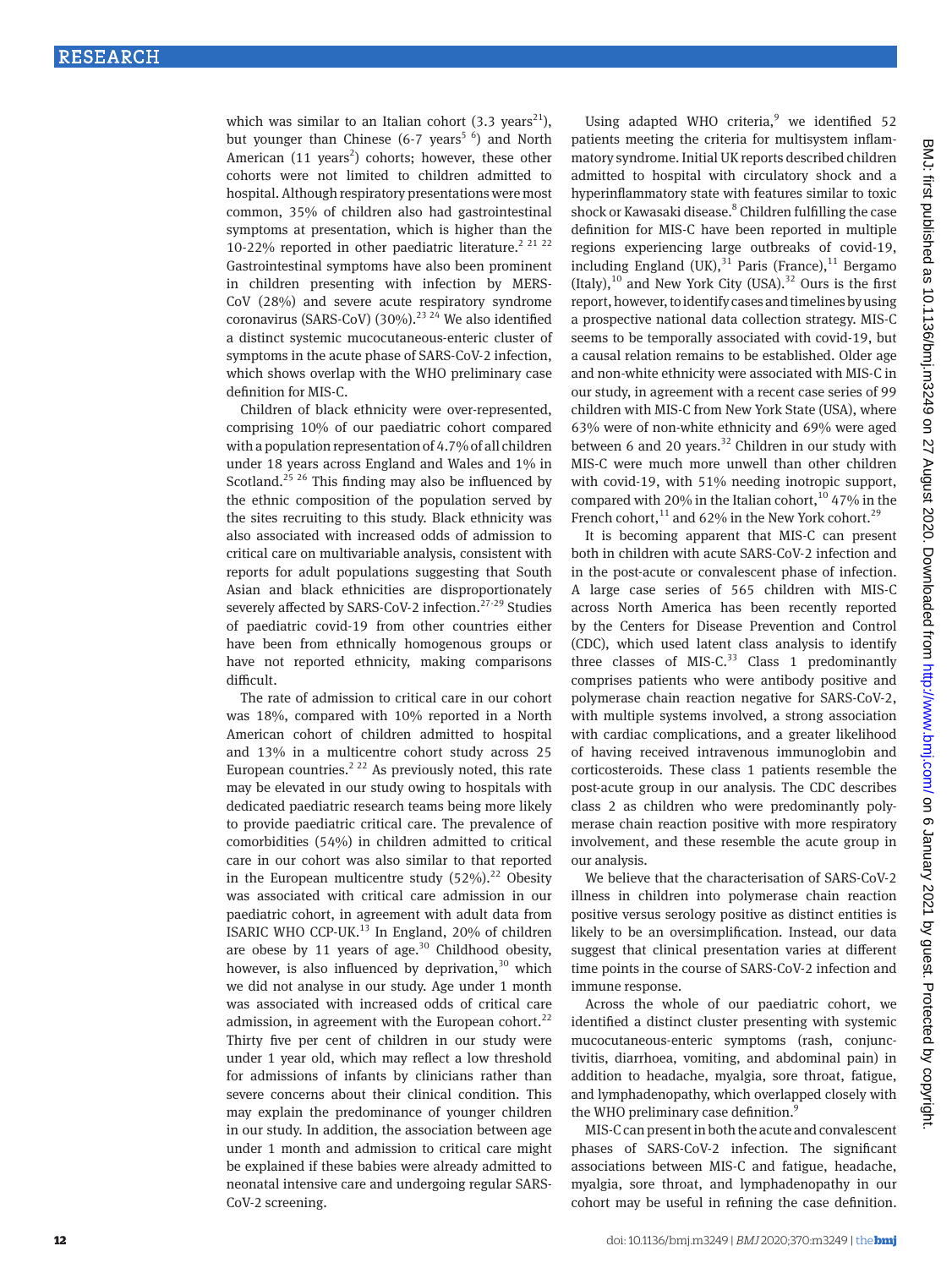which was similar to an Italian cohort  $(3.3 \text{ years}^{21})$ , but younger than Chinese  $(6-7 \text{ years}^5)$  and North American  $(11 \text{ years}^2)$  cohorts; however, these other cohorts were not limited to children admitted to hospital. Although respiratory presentations were most common, 35% of children also had gastrointestinal symptoms at presentation, which is higher than the 10-22% reported in other paediatric literature.<sup>2 21 22</sup> Gastrointestinal symptoms have also been prominent in children presenting with infection by MERS-CoV (28%) and severe acute respiratory syndrome coronavirus (SARS-CoV) (30%).<sup>23 24</sup> We also identified a distinct systemic mucocutaneous-enteric cluster of symptoms in the acute phase of SARS-CoV-2 infection, which shows overlap with the WHO preliminary case definition for MIS-C.

Children of black ethnicity were over-represented, comprising 10% of our paediatric cohort compared with a population representation of 4.7% of all children under 18 years across England and Wales and 1% in Scotland.<sup>25 26</sup> This finding may also be influenced by the ethnic composition of the population served by the sites recruiting to this study. Black ethnicity was also associated with increased odds of admission to critical care on multivariable analysis, consistent with reports for adult populations suggesting that South Asian and black ethnicities are disproportionately severely affected by SARS-CoV-2 infection.<sup>27-29</sup> Studies of paediatric covid-19 from other countries either have been from ethnically homogenous groups or have not reported ethnicity, making comparisons difficult.

The rate of admission to critical care in our cohort was 18%, compared with 10% reported in a North American cohort of children admitted to hospital and 13% in a multicentre cohort study across 25 European countries.<sup>2 22</sup> As previously noted, this rate may be elevated in our study owing to hospitals with dedicated paediatric research teams being more likely to provide paediatric critical care. The prevalence of comorbidities (54%) in children admitted to critical care in our cohort was also similar to that reported in the European multicentre study  $(52\%)$ <sup>22</sup> Obesity was associated with critical care admission in our paediatric cohort, in agreement with adult data from ISARIC WHO CCP-UK.<sup>13</sup> In England, 20% of children are obese by 11 years of age. $30$  Childhood obesity, however, is also influenced by deprivation, $30$  which we did not analyse in our study. Age under 1 month was associated with increased odds of critical care admission, in agreement with the European cohort. $^{22}$ Thirty five per cent of children in our study were under 1 year old, which may reflect a low threshold for admissions of infants by clinicians rather than severe concerns about their clinical condition. This may explain the predominance of younger children in our study. In addition, the association between age under 1 month and admission to critical care might be explained if these babies were already admitted to neonatal intensive care and undergoing regular SARS-CoV-2 screening.

Using adapted WHO criteria,<sup>9</sup> we identified 52 patients meeting the criteria for multisystem inflammatory syndrome. Initial UK reports described children admitted to hospital with circulatory shock and a hyperinflammatory state with features similar to toxic shock or Kawasaki disease.<sup>8</sup> Children fulfilling the case definition for MIS-C have been reported in multiple regions experiencing large outbreaks of covid-19, including England  $(UK)$ ,<sup>31</sup> Paris (France),<sup>11</sup> Bergamo (Italy),<sup>10</sup> and New York City (USA).<sup>32</sup> Ours is the first report, however, to identify cases and timelines by using a prospective national data collection strategy. MIS-C seems to be temporally associated with covid-19, but a causal relation remains to be established. Older age and non-white ethnicity were associated with MIS-C in our study, in agreement with a recent case series of 99 children with MIS-C from New York State (USA), where 63% were of non-white ethnicity and 69% were aged between 6 and 20 years. $32$  Children in our study with MIS-C were much more unwell than other children with covid-19, with 51% needing inotropic support, compared with 20% in the Italian cohort,  $10\,47\%$  in the French cohort,  $^{11}$  and 62% in the New York cohort.<sup>29</sup>

It is becoming apparent that MIS-C can present both in children with acute SARS-CoV-2 infection and in the post-acute or convalescent phase of infection. A large case series of 565 children with MIS-C across North America has been recently reported by the Centers for Disease Prevention and Control (CDC), which used latent class analysis to identify three classes of MIS-C. $33$  Class 1 predominantly comprises patients who were antibody positive and polymerase chain reaction negative for SARS-CoV-2, with multiple systems involved, a strong association with cardiac complications, and a greater likelihood of having received intravenous immunoglobin and corticosteroids. These class 1 patients resemble the post-acute group in our analysis. The CDC describes class 2 as children who were predominantly polymerase chain reaction positive with more respiratory involvement, and these resemble the acute group in our analysis.

We believe that the characterisation of SARS-CoV-2 illness in children into polymerase chain reaction positive versus serology positive as distinct entities is likely to be an oversimplification. Instead, our data suggest that clinical presentation varies at different time points in the course of SARS-CoV-2 infection and immune response.

Across the whole of our paediatric cohort, we identified a distinct cluster presenting with systemic mucocutaneous-enteric symptoms (rash, conjunctivitis, diarrhoea, vomiting, and abdominal pain) in addition to headache, myalgia, sore throat, fatigue, and lymphadenopathy, which overlapped closely with the WHO preliminary case definition.<sup>9</sup>

MIS-C can present in both the acute and convalescent phases of SARS-CoV-2 infection. The significant associations between MIS-C and fatigue, headache, myalgia, sore throat, and lymphadenopathy in our cohort may be useful in refining the case definition.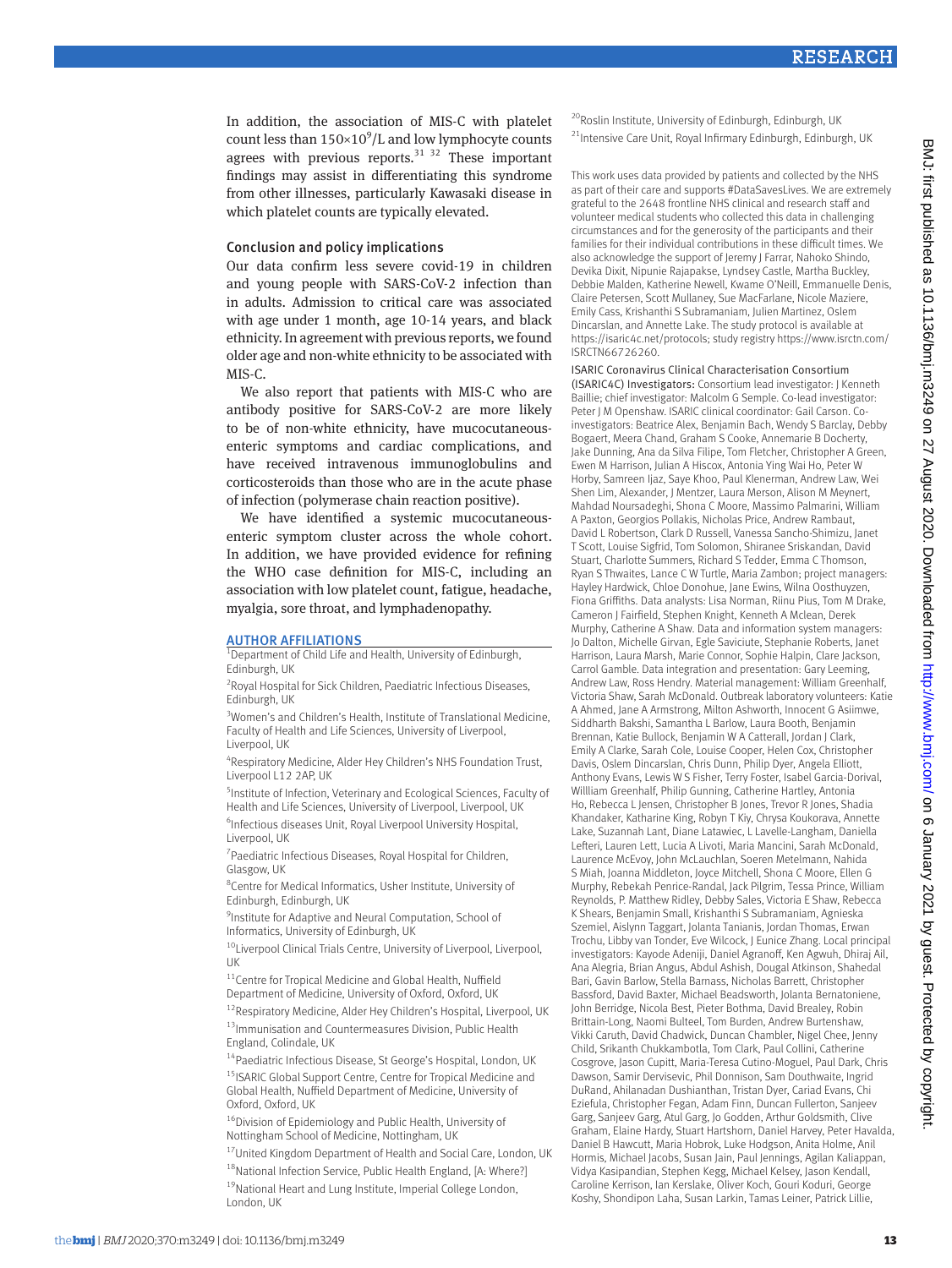In addition, the association of MIS-C with platelet count less than  $150\times10^9$ /L and low lymphocyte counts agrees with previous reports. $3132$  These important findings may assist in differentiating this syndrome from other illnesses, particularly Kawasaki disease in which platelet counts are typically elevated.

#### Conclusion and policy implications

Our data confirm less severe covid-19 in children and young people with SARS-CoV-2 infection than in adults. Admission to critical care was associated with age under 1 month, age 10-14 years, and black ethnicity. In agreement with previous reports, we found older age and non-white ethnicity to be associated with MIS-C.

We also report that patients with MIS-C who are antibody positive for SARS-CoV-2 are more likely to be of non-white ethnicity, have mucocutaneousenteric symptoms and cardiac complications, and have received intravenous immunoglobulins and corticosteroids than those who are in the acute phase of infection (polymerase chain reaction positive).

We have identified a systemic mucocutaneousenteric symptom cluster across the whole cohort. In addition, we have provided evidence for refining the WHO case definition for MIS-C, including an association with low platelet count, fatigue, headache, myalgia, sore throat, and lymphadenopathy.

#### **AUTHOR AFFILIATIONS**

<sup>1</sup>Department of Child Life and Health, University of Edinburgh, Edinburgh, UK

<sup>2</sup> Royal Hospital for Sick Children, Paediatric Infectious Diseases, Edinburgh, UK

<sup>3</sup>Women's and Children's Health, Institute of Translational Medicine, Faculty of Health and Life Sciences, University of Liverpool, Liverpool, UK

4 Respiratory Medicine, Alder Hey Children's NHS Foundation Trust, Liverpool L12 2AP, UK

5 Institute of Infection, Veterinary and Ecological Sciences, Faculty of Health and Life Sciences, University of Liverpool, Liverpool, UK

6 Infectious diseases Unit, Royal Liverpool University Hospital, Liverpool, UK

<sup>7</sup> Paediatric Infectious Diseases, Royal Hospital for Children, Glasgow, UK

8 Centre for Medical Informatics, Usher Institute, University of Edinburgh, Edinburgh, UK

<sup>9</sup>Institute for Adaptive and Neural Computation, School of Informatics, University of Edinburgh, UK

<sup>10</sup>Liverpool Clinical Trials Centre, University of Liverpool, Liverpool, UK

11Centre for Tropical Medicine and Global Health, Nuffield Department of Medicine, University of Oxford, Oxford, UK

<sup>12</sup>Respiratory Medicine, Alder Hey Children's Hospital, Liverpool, UK 13Immunisation and Countermeasures Division, Public Health England, Colindale, UK

<sup>14</sup> Paediatric Infectious Disease, St George's Hospital, London, UK

<sup>15</sup> ISARIC Global Support Centre, Centre for Tropical Medicine and Global Health, Nuffield Department of Medicine, University of Oxford, Oxford, UK

<sup>16</sup>Division of Epidemiology and Public Health, University of Nottingham School of Medicine, Nottingham, UK

<sup>17</sup> United Kingdom Department of Health and Social Care, London, UK <sup>18</sup>National Infection Service, Public Health England, [A: Where?] <sup>19</sup>National Heart and Lung Institute, Imperial College London, London, UK

<sup>20</sup>Roslin Institute, University of Edinburgh, Edinburgh, UK <sup>21</sup>Intensive Care Unit, Royal Infirmary Edinburgh, Edinburgh, UK

This work uses data provided by patients and collected by the NHS as part of their care and supports #DataSavesLives. We are extremely grateful to the 2648 frontline NHS clinical and research staff and volunteer medical students who collected this data in challenging circumstances and for the generosity of the participants and their families for their individual contributions in these difficult times. We also acknowledge the support of Jeremy J Farrar, Nahoko Shindo, Devika Dixit, Nipunie Rajapakse, Lyndsey Castle, Martha Buckley, Debbie Malden, Katherine Newell, Kwame O'Neill, Emmanuelle Denis, Claire Petersen, Scott Mullaney, Sue MacFarlane, Nicole Maziere, Emily Cass, Krishanthi S Subramaniam, Julien Martinez, Oslem Dincarslan, and Annette Lake. The study protocol is available at [https://isaric4c.net/protocols;](https://isaric4c.net/protocols) study registry [https://www.isrctn.com/](https://www.isrctn.com/ISRCTN66726260) [ISRCTN66726260](https://www.isrctn.com/ISRCTN66726260).

ISARIC Coronavirus Clinical Characterisation Consortium (ISARIC4C) Investigators: Consortium lead investigator: J Kenneth Baillie; chief investigator: Malcolm G Semple. Co-lead investigator: Peter J M Openshaw. ISARIC clinical coordinator: Gail Carson. Coinvestigators: Beatrice Alex, Benjamin Bach, Wendy S Barclay, Debby Bogaert, Meera Chand, Graham S Cooke, Annemarie B Docherty, Jake Dunning, Ana da Silva Filipe, Tom Fletcher, Christopher A Green, Ewen M Harrison, Julian A Hiscox, Antonia Ying Wai Ho, Peter W Horby, Samreen Ijaz, Saye Khoo, Paul Klenerman, Andrew Law, Wei Shen Lim, Alexander, J Mentzer, Laura Merson, Alison M Meynert, Mahdad Noursadeghi, Shona C Moore, Massimo Palmarini, William A Paxton, Georgios Pollakis, Nicholas Price, Andrew Rambaut, David L Robertson, Clark D Russell, Vanessa Sancho-Shimizu, Janet T Scott, Louise Sigfrid, Tom Solomon, Shiranee Sriskandan, David Stuart, Charlotte Summers, Richard S Tedder, Emma C Thomson, Ryan S Thwaites, Lance C W Turtle, Maria Zambon; project managers: Hayley Hardwick, Chloe Donohue, Jane Ewins, Wilna Oosthuyzen, Fiona Griffiths. Data analysts: Lisa Norman, Riinu Pius, Tom M Drake, Cameron J Fairfield, Stephen Knight, Kenneth A Mclean, Derek Murphy, Catherine A Shaw. Data and information system managers: Jo Dalton, Michelle Girvan, Egle Saviciute, Stephanie Roberts, Janet Harrison, Laura Marsh, Marie Connor, Sophie Halpin, Clare Jackson, Carrol Gamble. Data integration and presentation: Gary Leeming, Andrew Law, Ross Hendry. Material management: William Greenhalf, Victoria Shaw, Sarah McDonald. Outbreak laboratory volunteers: Katie A Ahmed, Jane A Armstrong, Milton Ashworth, Innocent G Asiimwe, Siddharth Bakshi, Samantha L Barlow, Laura Booth, Benjamin Brennan, Katie Bullock, Benjamin W A Catterall, Jordan J Clark, Emily A Clarke, Sarah Cole, Louise Cooper, Helen Cox, Christopher Davis, Oslem Dincarslan, Chris Dunn, Philip Dyer, Angela Elliott, Anthony Evans, Lewis W S Fisher, Terry Foster, Isabel Garcia-Dorival, Willliam Greenhalf, Philip Gunning, Catherine Hartley, Antonia Ho, Rebecca L Jensen, Christopher B Jones, Trevor R Jones, Shadia Khandaker, Katharine King, Robyn T Kiy, Chrysa Koukorava, Annette Lake, Suzannah Lant, Diane Latawiec, L Lavelle-Langham, Daniella Lefteri, Lauren Lett, Lucia A Livoti, Maria Mancini, Sarah McDonald, Laurence McEvoy, John McLauchlan, Soeren Metelmann, Nahida S Miah, Joanna Middleton, Joyce Mitchell, Shona C Moore, Ellen G Murphy, Rebekah Penrice-Randal, Jack Pilgrim, Tessa Prince, William Reynolds, P. Matthew Ridley, Debby Sales, Victoria E Shaw, Rebecca K Shears, Benjamin Small, Krishanthi S Subramaniam, Agnieska Szemiel, Aislynn Taggart, Jolanta Tanianis, Jordan Thomas, Erwan Trochu, Libby van Tonder, Eve Wilcock, J Eunice Zhang. Local principal investigators: Kayode Adeniji, Daniel Agranoff, Ken Agwuh, Dhiraj Ail, Ana Alegria, Brian Angus, Abdul Ashish, Dougal Atkinson, Shahedal Bari, Gavin Barlow, Stella Barnass, Nicholas Barrett, Christopher Bassford, David Baxter, Michael Beadsworth, Jolanta Bernatoniene, John Berridge, Nicola Best, Pieter Bothma, David Brealey, Robin Brittain-Long, Naomi Bulteel, Tom Burden, Andrew Burtenshaw, Vikki Caruth, David Chadwick, Duncan Chambler, Nigel Chee, Jenny Child, Srikanth Chukkambotla, Tom Clark, Paul Collini, Catherine Cosgrove, Jason Cupitt, Maria-Teresa Cutino-Moguel, Paul Dark, Chris Dawson, Samir Dervisevic, Phil Donnison, Sam Douthwaite, Ingrid DuRand, Ahilanadan Dushianthan, Tristan Dyer, Cariad Evans, Chi Eziefula, Christopher Fegan, Adam Finn, Duncan Fullerton, Sanjeev Garg, Sanjeev Garg, Atul Garg, Jo Godden, Arthur Goldsmith, Clive Graham, Elaine Hardy, Stuart Hartshorn, Daniel Harvey, Peter Havalda, Daniel B Hawcutt, Maria Hobrok, Luke Hodgson, Anita Holme, Anil Hormis, Michael Jacobs, Susan Jain, Paul Jennings, Agilan Kaliappan, Vidya Kasipandian, Stephen Kegg, Michael Kelsey, Jason Kendall, Caroline Kerrison, Ian Kerslake, Oliver Koch, Gouri Koduri, George Koshy, Shondipon Laha, Susan Larkin, Tamas Leiner, Patrick Lillie,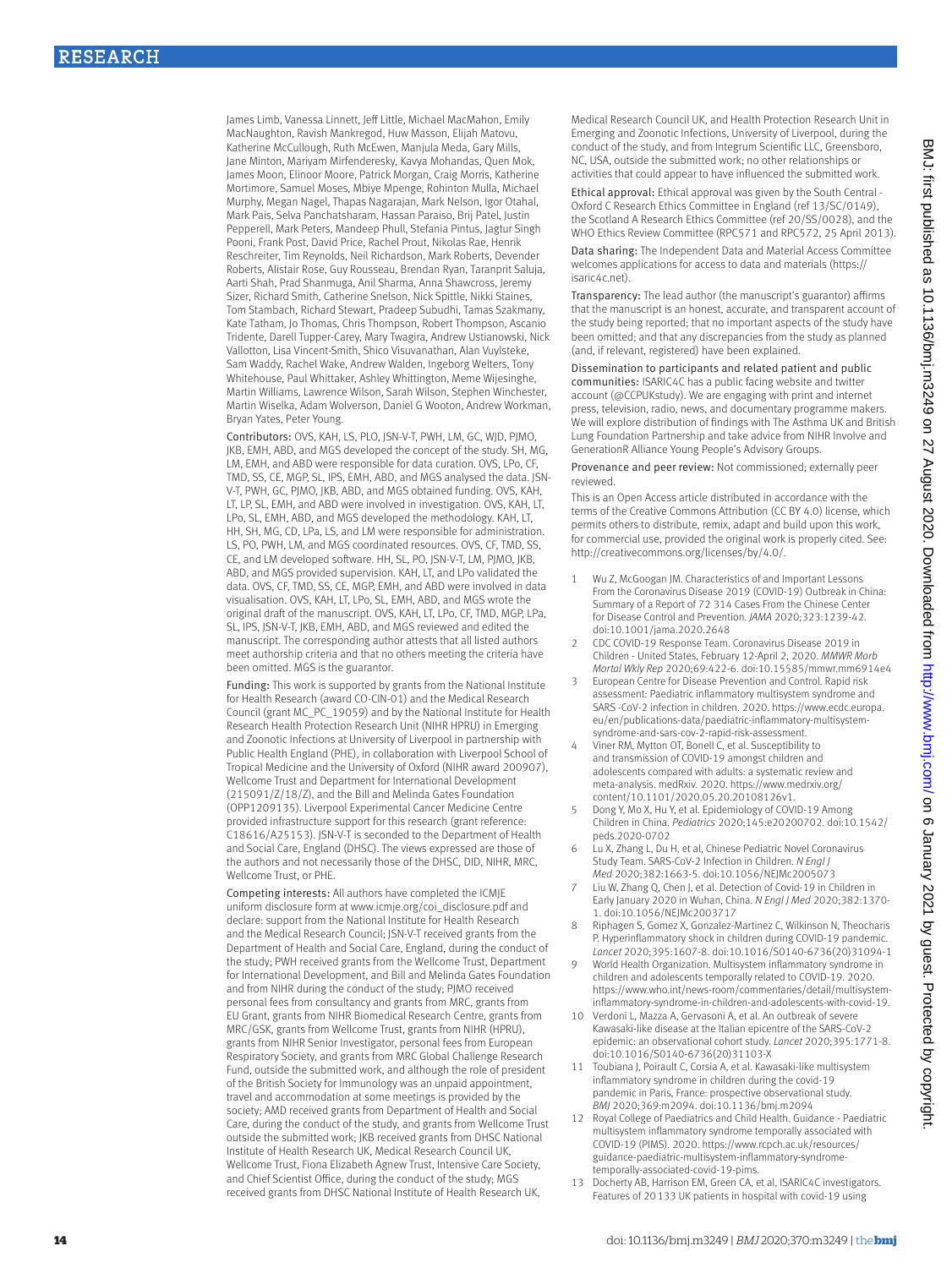James Limb, Vanessa Linnett, Jeff Little, Michael MacMahon, Emily MacNaughton, Ravish Mankregod, Huw Masson, Elijah Matovu, Katherine McCullough, Ruth McEwen, Manjula Meda, Gary Mills, Jane Minton, Mariyam Mirfenderesky, Kavya Mohandas, Quen Mok, James Moon, Elinoor Moore, Patrick Morgan, Craig Morris, Katherine Mortimore, Samuel Moses, Mbiye Mpenge, Rohinton Mulla, Michael Murphy, Megan Nagel, Thapas Nagarajan, Mark Nelson, Igor Otahal, Mark Pais, Selva Panchatsharam, Hassan Paraiso, Brij Patel, Justin Pepperell, Mark Peters, Mandeep Phull, Stefania Pintus, Jagtur Singh Pooni, Frank Post, David Price, Rachel Prout, Nikolas Rae, Henrik Reschreiter, Tim Reynolds, Neil Richardson, Mark Roberts, Devender Roberts, Alistair Rose, Guy Rousseau, Brendan Ryan, Taranprit Saluja, Aarti Shah, Prad Shanmuga, Anil Sharma, Anna Shawcross, Jeremy Sizer, Richard Smith, Catherine Snelson, Nick Spittle, Nikki Staines, Tom Stambach, Richard Stewart, Pradeep Subudhi, Tamas Szakmany, Kate Tatham, Jo Thomas, Chris Thompson, Robert Thompson, Ascanio Tridente, Darell Tupper-Carey, Mary Twagira, Andrew Ustianowski, Nick Vallotton, Lisa Vincent-Smith, Shico Visuvanathan, Alan Vuylsteke, Sam Waddy, Rachel Wake, Andrew Walden, Ingeborg Welters, Tony Whitehouse, Paul Whittaker, Ashley Whittington, Meme Wijesinghe, Martin Williams, Lawrence Wilson, Sarah Wilson, Stephen Winchester, Martin Wiselka, Adam Wolverson, Daniel G Wooton, Andrew Workman, Bryan Yates, Peter Young.

Contributors: OVS, KAH, LS, PLO, JSN-V-T, PWH, LM, GC, WJD, PJMO, JKB, EMH, ABD, and MGS developed the concept of the study. SH, MG, LM, EMH, and ABD were responsible for data curation. OVS, LPo, CF, TMD, SS, CE, MGP, SL, IPS, EMH, ABD, and MGS analysed the data. JSN-V-T, PWH, GC, PIMO, IKB, ABD, and MGS obtained funding, OVS, KAH, LT, LP, SL, EMH, and ABD were involved in investigation. OVS, KAH, LT, LPo, SL, EMH, ABD, and MGS developed the methodology. KAH, LT, HH, SH, MG, CD, LPa, LS, and LM were responsible for administration. LS, PO, PWH, LM, and MGS coordinated resources. OVS, CF, TMD, SS, CE, and LM developed software. HH, SL, PO, JSN-V-T, LM, PJMO, JKB, ABD, and MGS provided supervision. KAH, LT, and LPo validated the data. OVS, CF, TMD, SS, CE, MGP, EMH, and ABD were involved in data visualisation. OVS, KAH, LT, LPo, SL, EMH, ABD, and MGS wrote the original draft of the manuscript. OVS, KAH, LT, LPo, CF, TMD, MGP, LPa, SL, IPS, JSN-V-T, JKB, EMH, ABD, and MGS reviewed and edited the manuscript. The corresponding author attests that all listed authors meet authorship criteria and that no others meeting the criteria have been omitted. MGS is the guarantor.

Funding: This work is supported by grants from the National Institute for Health Research (award CO-CIN-01) and the Medical Research Council (grant MC\_PC\_19059) and by the National Institute for Health Research Health Protection Research Unit (NIHR HPRU) in Emerging and Zoonotic Infections at University of Liverpool in partnership with Public Health England (PHE), in collaboration with Liverpool School of Tropical Medicine and the University of Oxford (NIHR award 200907), Wellcome Trust and Department for International Development (215091/Z/18/Z), and the Bill and Melinda Gates Foundation (OPP1209135). Liverpool Experimental Cancer Medicine Centre provided infrastructure support for this research (grant reference: C18616/A25153). JSN-V-T is seconded to the Department of Health and Social Care, England (DHSC). The views expressed are those of the authors and not necessarily those of the DHSC, DID, NIHR, MRC, Wellcome Trust, or PHE.

Competing interests: All authors have completed the ICMJE uniform disclosure form at [www.icmje.org/coi\\_disclosure.pdf](http://www.icmje.org/coi_disclosure.pdf) and declare: support from the National Institute for Health Research and the Medical Research Council; JSN-V-T received grants from the Department of Health and Social Care, England, during the conduct of the study; PWH received grants from the Wellcome Trust, Department for International Development, and Bill and Melinda Gates Foundation and from NIHR during the conduct of the study; PJMO received personal fees from consultancy and grants from MRC, grants from EU Grant, grants from NIHR Biomedical Research Centre, grants from MRC/GSK, grants from Wellcome Trust, grants from NIHR (HPRU), grants from NIHR Senior Investigator, personal fees from European Respiratory Society, and grants from MRC Global Challenge Research Fund, outside the submitted work, and although the role of president of the British Society for Immunology was an unpaid appointment, travel and accommodation at some meetings is provided by the society; AMD received grants from Department of Health and Social Care, during the conduct of the study, and grants from Wellcome Trust outside the submitted work; JKB received grants from DHSC National Institute of Health Research UK, Medical Research Council UK, Wellcome Trust, Fiona Elizabeth Agnew Trust, Intensive Care Society, and Chief Scientist Office, during the conduct of the study; MGS received grants from DHSC National Institute of Health Research UK,

Medical Research Council UK, and Health Protection Research Unit in Emerging and Zoonotic Infections, University of Liverpool, during the conduct of the study, and from Integrum Scientific LLC, Greensboro, NC, USA, outside the submitted work; no other relationships or activities that could appear to have influenced the submitted work.

Ethical approval: Ethical approval was given by the South Central - Oxford C Research Ethics Committee in England (ref 13/SC/0149), the Scotland A Research Ethics Committee (ref 20/SS/0028), and the WHO Ethics Review Committee (RPC571 and RPC572, 25 April 2013).

Data sharing: The Independent Data and Material Access Committee welcomes applications for access to data and materials [\(https://](https://isaric4c.net) [isaric4c.net\)](https://isaric4c.net).

Transparency: The lead author (the manuscript's guarantor) affirms that the manuscript is an honest, accurate, and transparent account of the study being reported; that no important aspects of the study have been omitted; and that any discrepancies from the study as planned (and, if relevant, registered) have been explained.

Dissemination to participants and related patient and public communities: ISARIC4C has a public facing website and twitter account [\(@CCPUKstudy\)](https://twitter.com/CCPUKstudy). We are engaging with print and internet press, television, radio, news, and documentary programme makers. We will explore distribution of findings with The Asthma UK and British Lung Foundation Partnership and take advice from NIHR Involve and GenerationR Alliance Young People's Advisory Groups.

Provenance and peer review: Not commissioned; externally peer reviewed.

This is an Open Access article distributed in accordance with the terms of the Creative Commons Attribution (CC BY 4.0) license, which permits others to distribute, remix, adapt and build upon this work, for commercial use, provided the original work is properly cited. See: <http://creativecommons.org/licenses/by/4.0/>.

- Wu Z, McGoogan JM. Characteristics of and Important Lessons From the Coronavirus Disease 2019 (COVID-19) Outbreak in China: Summary of a Report of 72 314 Cases From the Chinese Center for Disease Control and Prevention. *JAMA* 2020;323:1239-42. doi:10.1001/jama.2020.2648
- 2 CDC COVID-19 Response Team. Coronavirus Disease 2019 in Children - United States, February 12-April 2, 2020. *MMWR Morb Mortal Wkly Rep* 2020;69:422-6. doi:10.15585/mmwr.mm6914e4
- 3 European Centre for Disease Prevention and Control. Rapid risk assessment: Paediatric inflammatory multisystem syndrome and SARS -CoV-2 infection in children. 2020. [https://www.ecdc.europa.](https://www.ecdc.europa.eu/en/publications-data/paediatric-inflammatory-multisystem-syndrome-and-sars-cov-2-rapid-risk-assessment) [eu/en/publications-data/paediatric-inflammatory-multisystem](https://www.ecdc.europa.eu/en/publications-data/paediatric-inflammatory-multisystem-syndrome-and-sars-cov-2-rapid-risk-assessment)[syndrome-and-sars-cov-2-rapid-risk-assessment.](https://www.ecdc.europa.eu/en/publications-data/paediatric-inflammatory-multisystem-syndrome-and-sars-cov-2-rapid-risk-assessment)
- 4 Viner RM, Mytton OT, Bonell C, et al. Susceptibility to and transmission of COVID-19 amongst children and adolescents compared with adults: a systematic review and meta-analysis. medRxiv. 2020. [https://www.medrxiv.org/](https://www.medrxiv.org/content/10.1101/2020.05.20.20108126v1) [content/10.1101/2020.05.20.20108126v1](https://www.medrxiv.org/content/10.1101/2020.05.20.20108126v1).
- 5 Dong Y, Mo X, Hu Y, et al. Epidemiology of COVID-19 Among Children in China. *Pediatrics* 2020;145:e20200702. doi:10.1542/ peds.2020-0702
- Lu X, Zhang L, Du H, et al, Chinese Pediatric Novel Coronavirus Study Team. SARS-CoV-2 Infection in Children. *N Engl J Med* 2020;382:1663-5. doi:10.1056/NEJMc2005073
- Liu W, Zhang Q, Chen J, et al. Detection of Covid-19 in Children in Early January 2020 in Wuhan, China. *N Engl J Med* 2020;382:1370- 1. doi:10.1056/NEJMc2003717
- 8 Riphagen S, Gomez X, Gonzalez-Martinez C, Wilkinson N, Theocharis P. Hyperinflammatory shock in children during COVID-19 pandemic. *Lancet* 2020;395:1607-8. doi:10.1016/S0140-6736(20)31094-1
- 9 World Health Organization. Multisystem inflammatory syndrome in children and adolescents temporally related to COVID-19. 2020. [https://www.who.int/news-room/commentaries/detail/multisystem](https://www.who.int/news-room/commentaries/detail/multisystem-inflammatory-syndrome-in-children-and-adolescents-with-covid-19)[inflammatory-syndrome-in-children-and-adolescents-with-covid-19.](https://www.who.int/news-room/commentaries/detail/multisystem-inflammatory-syndrome-in-children-and-adolescents-with-covid-19)
- 10 Verdoni L, Mazza A, Gervasoni A, et al. An outbreak of severe Kawasaki-like disease at the Italian epicentre of the SARS-CoV-2 epidemic: an observational cohort study. *Lancet* 2020;395:1771-8. doi:10.1016/S0140-6736(20)31103-X
- 11 Toubiana J, Poirault C, Corsia A, et al. Kawasaki-like multisystem inflammatory syndrome in children during the covid-19 pandemic in Paris, France: prospective observational study. *BMJ* 2020;369:m2094. doi:10.1136/bmj.m2094
- 12 Royal College of Paediatrics and Child Health. Guidance Paediatric multisystem inflammatory syndrome temporally associated with COVID-19 (PIMS). 2020. [https://www.rcpch.ac.uk/resources/](https://www.rcpch.ac.uk/resources/guidance-paediatric-multisystem-inflammatory-syndrome-temporally-associated-covid-19-pims) [guidance-paediatric-multisystem-inflammatory-syndrome](https://www.rcpch.ac.uk/resources/guidance-paediatric-multisystem-inflammatory-syndrome-temporally-associated-covid-19-pims)[temporally-associated-covid-19-pims.](https://www.rcpch.ac.uk/resources/guidance-paediatric-multisystem-inflammatory-syndrome-temporally-associated-covid-19-pims)
- Docherty AB, Harrison EM, Green CA, et al, ISARIC4C investigators. Features of 20133 UK patients in hospital with covid-19 using